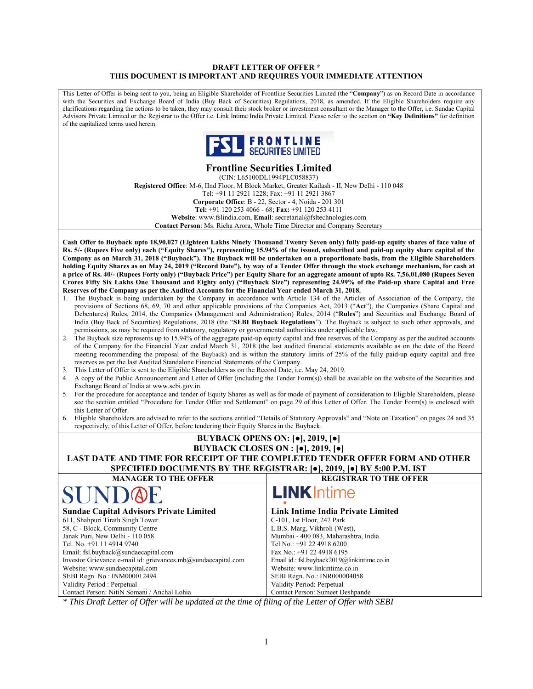#### **DRAFT LETTER OF OFFER \* THIS DOCUMENT IS IMPORTANT AND REQUIRES YOUR IMMEDIATE ATTENTION**

This Letter of Offer is being sent to you, being an Eligible Shareholder of Frontline Securities Limited (the "**Company**") as on Record Date in accordance with the Securities and Exchange Board of India (Buy Back of Securities) Regulations, 2018, as amended. If the Eligible Shareholders require any clarifications regarding the actions to be taken, they may consult their stock broker or investment consultant or the Manager to the Offer, i.e. Sundae Capital Advisors Private Limited or the Registrar to the Offer i.e. Link Intime India Private Limited. Please refer to the section on **"Key Definitions"** for definition of the capitalized terms used herein.



# **Frontline Securities Limited**

(CIN: L65100DL1994PLC058837) **Registered Office**: M-6, IInd Floor, M Block Market, Greater Kailash - II, New Delhi - 110 048 Tel: +91 11 2921 1228; Fax: +91 11 2921 3867 **Corporate Office**: B - 22, Sector - 4, Noida - 201 301 **Tel:** +91 120 253 4066 - 68; **Fax:** +91 120 253 4111 **Website**: www.fslindia.com, **Email**: secretarial@fsltechnologies.com **Contact Person**: Ms. Richa Arora, Whole Time Director and Company Secretary

**Cash Offer to Buyback upto 18,90,027 (Eighteen Lakhs Ninety Thousand Twenty Seven only) fully paid-up equity shares of face value of Rs. 5/- (Rupees Five only) each ("Equity Shares"), representing 15.94% of the issued, subscribed and paid-up equity share capital of the Company as on March 31, 2018 ("Buyback"). The Buyback will be undertaken on a proportionate basis, from the Eligible Shareholders holding Equity Shares as on May 24, 2019 ("Record Date"), by way of a Tender Offer through the stock exchange mechanism, for cash at a price of Rs. 40/- (Rupees Forty only) ("Buyback Price") per Equity Share for an aggregate amount of upto Rs. 7,56,01,080 (Rupees Seven Crores Fifty Six Lakhs One Thousand and Eighty only) ("Buyback Size") representing 24.99% of the Paid-up share Capital and Free Reserves of the Company as per the Audited Accounts for the Financial Year ended March 31, 2018.** 

- 1. The Buyback is being undertaken by the Company in accordance with Article 134 of the Articles of Association of the Company, the provisions of Sections 68, 69, 70 and other applicable provisions of the Companies Act, 2013 ("**Act**"), the Companies (Share Capital and Debentures) Rules, 2014, the Companies (Management and Administration) Rules, 2014 ("**Rules**") and Securities and Exchange Board of India (Buy Back of Securities) Regulations, 2018 (the "**SEBI Buyback Regulations**"). The Buyback is subject to such other approvals, and permissions, as may be required from statutory, regulatory or governmental authorities under applicable law.
- 2. The Buyback size represents up to 15.94% of the aggregate paid-up equity capital and free reserves of the Company as per the audited accounts of the Company for the Financial Year ended March 31, 2018 (the last audited financial statements available as on the date of the Board meeting recommending the proposal of the Buyback) and is within the statutory limits of 25% of the fully paid-up equity capital and free reserves as per the last Audited Standalone Financial Statements of the Company.
- 3. This Letter of Offer is sent to the Eligible Shareholders as on the Record Date, i.e. May 24, 2019.
- 4. A copy of the Public Announcement and Letter of Offer (including the Tender Form(s)) shall be available on the website of the Securities and Exchange Board of India at www.sebi.gov.in.
- 5. For the procedure for acceptance and tender of Equity Shares as well as for mode of payment of consideration to Eligible Shareholders, please see the section entitled "Procedure for Tender Offer and Settlement" on page 29 of this Letter of Offer. The Tender Form(s) is enclosed with this Letter of Offer.
- 6. Eligible Shareholders are advised to refer to the sections entitled "Details of Statutory Approvals" and "Note on Taxation" on pages 24 and 35 respectively, of this Letter of Offer, before tendering their Equity Shares in the Buyback.

| <b>BUYBACK OPENS ON: [0], 2019, [0]</b><br>BUYBACK CLOSES ON : $[•]$ , 2019, $[•]$                           |                                                                                                                                                                          |  |  |
|--------------------------------------------------------------------------------------------------------------|--------------------------------------------------------------------------------------------------------------------------------------------------------------------------|--|--|
|                                                                                                              | LAST DATE AND TIME FOR RECEIPT OF THE COMPLETED TENDER OFFER FORM AND OTHER<br>SPECIFIED DOCUMENTS BY THE REGISTRAR: [ $\bullet$ ], 2019, [ $\bullet$ ] BY 5:00 P.M. IST |  |  |
| <b>MANAGER TO THE OFFER</b>                                                                                  | <b>REGISTRAR TO THE OFFER</b>                                                                                                                                            |  |  |
| <b>LINK</b> Intime<br>SUNDOE                                                                                 |                                                                                                                                                                          |  |  |
| <b>Sundae Capital Advisors Private Limited</b><br><b>Link Intime India Private Limited</b>                   |                                                                                                                                                                          |  |  |
| 611, Shahpuri Tirath Singh Tower                                                                             | C-101, 1st Floor, 247 Park                                                                                                                                               |  |  |
| 58, C - Block, Community Centre<br>L.B.S. Marg, Vikhroli (West),                                             |                                                                                                                                                                          |  |  |
| Janak Puri, New Delhi - 110 058<br>Mumbai - 400 083, Maharashtra, India                                      |                                                                                                                                                                          |  |  |
| Tel No.: +91 22 4918 6200<br>Tel. No. +91 11 4914 9740                                                       |                                                                                                                                                                          |  |  |
| Email: fsl.buyback@sundaecapital.com<br>Fax No.: +91 22 4918 6195                                            |                                                                                                                                                                          |  |  |
| Investor Grievance e-mail id: grievances.mb@sundaecapital.com<br>Email id.: fsl.buyback2019@linkintime.co.in |                                                                                                                                                                          |  |  |
| Website: www.linkintime.co.in<br>Website: www.sundaecapital.com                                              |                                                                                                                                                                          |  |  |
| SEBI Regn. No.: INM000012494<br>SEBI Regn. No.: INR000004058                                                 |                                                                                                                                                                          |  |  |
| Validity Period : Perpetual<br>Validity Period: Perpetual                                                    |                                                                                                                                                                          |  |  |
| Contact Person: NitiN Somani / Anchal Lohia<br>Contact Person: Sumeet Deshpande                              |                                                                                                                                                                          |  |  |

*\* This Draft Letter of Offer will be updated at the time of filing of the Letter of Offer with SEBI*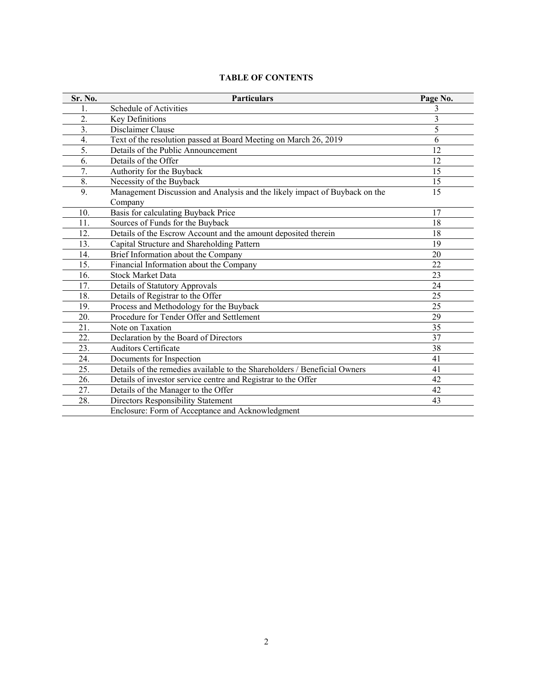| Sr. No.          | <b>Particulars</b>                                                                    | Page No.       |
|------------------|---------------------------------------------------------------------------------------|----------------|
| 1.               | Schedule of Activities                                                                | 3              |
| 2.               | Key Definitions                                                                       | 3              |
| $\overline{3}$ . | Disclaimer Clause                                                                     | 5              |
| 4.               | Text of the resolution passed at Board Meeting on March 26, 2019                      | $\overline{6}$ |
| 5.               | Details of the Public Announcement                                                    | 12             |
| 6.               | Details of the Offer                                                                  | 12             |
| 7.               | Authority for the Buyback                                                             | 15             |
| 8.               | Necessity of the Buyback                                                              | 15             |
| 9.               | Management Discussion and Analysis and the likely impact of Buyback on the<br>Company | 15             |
| 10.              | Basis for calculating Buyback Price                                                   | 17             |
| 11.              | Sources of Funds for the Buyback                                                      | 18             |
| 12.              | Details of the Escrow Account and the amount deposited therein                        | 18             |
| 13.              | Capital Structure and Shareholding Pattern                                            | 19             |
| 14.              | Brief Information about the Company                                                   | 20             |
| 15.              | Financial Information about the Company                                               | 22             |
| 16.              | <b>Stock Market Data</b>                                                              | 23             |
| 17.              | <b>Details of Statutory Approvals</b>                                                 | 24             |
| 18.              | Details of Registrar to the Offer                                                     | 25             |
| 19.              | Process and Methodology for the Buyback                                               | 25             |
| 20.              | Procedure for Tender Offer and Settlement                                             | 29             |
| 21.              | Note on Taxation                                                                      | 35             |
| 22.              | Declaration by the Board of Directors                                                 | 37             |
| 23.              | <b>Auditors Certificate</b>                                                           | 38             |
| 24.              | Documents for Inspection                                                              | 41             |
| 25.              | Details of the remedies available to the Shareholders / Beneficial Owners             | 41             |
| 26.              | Details of investor service centre and Registrar to the Offer                         | 42             |
| 27.              | Details of the Manager to the Offer                                                   | 42             |
| 28.              | Directors Responsibility Statement                                                    | 43             |
|                  | Enclosure: Form of Acceptance and Acknowledgment                                      |                |

# **TABLE OF CONTENTS**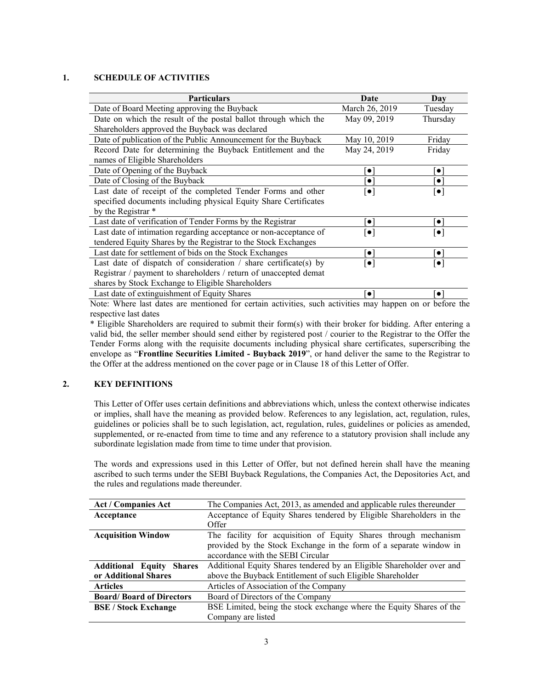## **1. SCHEDULE OF ACTIVITIES**

| <b>Particulars</b>                                                                                       | Date                     | Day                      |
|----------------------------------------------------------------------------------------------------------|--------------------------|--------------------------|
| Date of Board Meeting approving the Buyback                                                              | March 26, 2019           | Tuesday                  |
| Date on which the result of the postal ballot through which the                                          | May 09, 2019             | Thursday                 |
| Shareholders approved the Buyback was declared                                                           |                          |                          |
| Date of publication of the Public Announcement for the Buyback                                           | May 10, 2019             | Friday                   |
| Record Date for determining the Buyback Entitlement and the                                              | May 24, 2019             | Friday                   |
| names of Eligible Shareholders                                                                           |                          |                          |
| Date of Opening of the Buyback                                                                           | $\bullet$                | $\bullet$                |
| Date of Closing of the Buyback                                                                           | $\bullet$                | $\bullet$                |
| Last date of receipt of the completed Tender Forms and other                                             | $ \bullet $              | $[\bullet]$              |
| specified documents including physical Equity Share Certificates                                         |                          |                          |
| by the Registrar *                                                                                       |                          |                          |
| Last date of verification of Tender Forms by the Registrar                                               | $\bullet$                | $\bullet$                |
| Last date of intimation regarding acceptance or non-acceptance of                                        | $\left[ \bullet \right]$ | $\left[ \bullet \right]$ |
| tendered Equity Shares by the Registrar to the Stock Exchanges                                           |                          |                          |
| Last date for settlement of bids on the Stock Exchanges                                                  | $\bullet$                | $\bullet$                |
| Last date of dispatch of consideration $\ell$ share certificate(s) by                                    | $  \bullet  $            | $\left[ \bullet \right]$ |
| Registrar / payment to shareholders / return of unaccepted demat                                         |                          |                          |
| shares by Stock Exchange to Eligible Shareholders                                                        |                          |                          |
| Last date of extinguishment of Equity Shares                                                             |                          |                          |
| Note: Where lost dates are mentioned for certain activities, such activities may happen on or before the |                          |                          |

Note: Where last dates are mentioned for certain activities, such activities may happen on or before the respective last dates

\* Eligible Shareholders are required to submit their form(s) with their broker for bidding. After entering a valid bid, the seller member should send either by registered post / courier to the Registrar to the Offer the Tender Forms along with the requisite documents including physical share certificates, superscribing the envelope as "**Frontline Securities Limited - Buyback 2019**", or hand deliver the same to the Registrar to the Offer at the address mentioned on the cover page or in Clause 18 of this Letter of Offer.

## **2. KEY DEFINITIONS**

This Letter of Offer uses certain definitions and abbreviations which, unless the context otherwise indicates or implies, shall have the meaning as provided below. References to any legislation, act, regulation, rules, guidelines or policies shall be to such legislation, act, regulation, rules, guidelines or policies as amended, supplemented, or re-enacted from time to time and any reference to a statutory provision shall include any subordinate legislation made from time to time under that provision.

The words and expressions used in this Letter of Offer, but not defined herein shall have the meaning ascribed to such terms under the SEBI Buyback Regulations, the Companies Act, the Depositories Act, and the rules and regulations made thereunder.

| <b>Act / Companies Act</b>                | The Companies Act, 2013, as amended and applicable rules thereunder   |  |
|-------------------------------------------|-----------------------------------------------------------------------|--|
| Acceptance                                | Acceptance of Equity Shares tendered by Eligible Shareholders in the  |  |
|                                           | Offer                                                                 |  |
| <b>Acquisition Window</b>                 | The facility for acquisition of Equity Shares through mechanism       |  |
|                                           | provided by the Stock Exchange in the form of a separate window in    |  |
|                                           | accordance with the SEBI Circular                                     |  |
| <b>Additional Equity</b><br><b>Shares</b> | Additional Equity Shares tendered by an Eligible Shareholder over and |  |
| or Additional Shares                      | above the Buyback Entitlement of such Eligible Shareholder            |  |
| <b>Articles</b>                           | Articles of Association of the Company                                |  |
| <b>Board/Board of Directors</b>           | Board of Directors of the Company                                     |  |
| <b>BSE</b> / Stock Exchange               | BSE Limited, being the stock exchange where the Equity Shares of the  |  |
|                                           | Company are listed                                                    |  |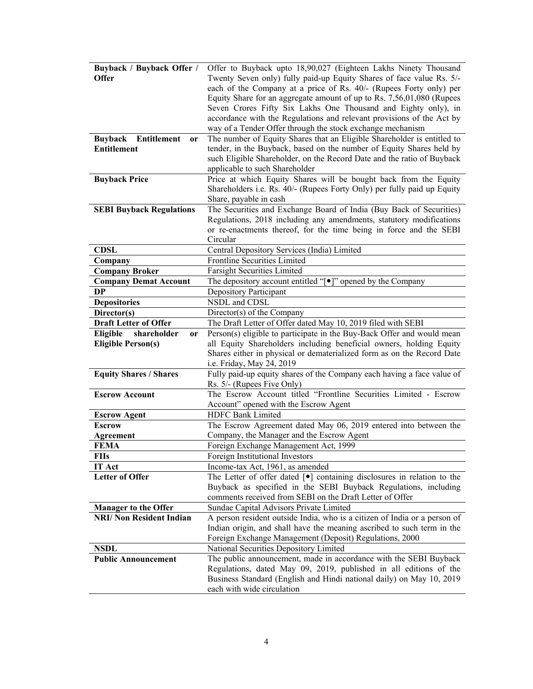| <b>Buyback / Buyback Offer /</b>    | Offer to Buyback upto 18,90,027 (Eighteen Lakhs Ninety Thousand                                                                            |  |
|-------------------------------------|--------------------------------------------------------------------------------------------------------------------------------------------|--|
| <b>Offer</b>                        | Twenty Seven only) fully paid-up Equity Shares of face value Rs. 5/-<br>each of the Company at a price of Rs. 40/- (Rupees Forty only) per |  |
|                                     | Equity Share for an aggregate amount of up to Rs. 7,56,01,080 (Rupees                                                                      |  |
|                                     | Seven Crores Fifty Six Lakhs One Thousand and Eighty only), in                                                                             |  |
|                                     | accordance with the Regulations and relevant provisions of the Act by                                                                      |  |
|                                     | way of a Tender Offer through the stock exchange mechanism                                                                                 |  |
| Entitlement<br><b>Buyback</b><br>or | The number of Equity Shares that an Eligible Shareholder is entitled to                                                                    |  |
| <b>Entitlement</b>                  | tender, in the Buyback, based on the number of Equity Shares held by                                                                       |  |
|                                     | such Eligible Shareholder, on the Record Date and the ratio of Buyback                                                                     |  |
|                                     | applicable to such Shareholder                                                                                                             |  |
| <b>Buyback Price</b>                | Price at which Equity Shares will be bought back from the Equity                                                                           |  |
|                                     | Shareholders i.e. Rs. 40/- (Rupees Forty Only) per fully paid up Equity                                                                    |  |
|                                     | Share, payable in cash                                                                                                                     |  |
| <b>SEBI Buyback Regulations</b>     | The Securities and Exchange Board of India (Buy Back of Securities)                                                                        |  |
|                                     | Regulations, 2018 including any amendments, statutory modifications<br>or re-enactments thereof, for the time being in force and the SEBI  |  |
|                                     | Circular                                                                                                                                   |  |
| <b>CDSL</b>                         | Central Depository Services (India) Limited                                                                                                |  |
| Company                             | Frontline Securities Limited                                                                                                               |  |
| <b>Company Broker</b>               | <b>Farsight Securities Limited</b>                                                                                                         |  |
| <b>Company Demat Account</b>        | The depository account entitled "[ $\bullet$ ]" opened by the Company                                                                      |  |
| <b>DP</b>                           | Depository Participant                                                                                                                     |  |
| <b>Depositories</b>                 | NSDL and CDSL                                                                                                                              |  |
| Director(s)                         | Director(s) of the Company                                                                                                                 |  |
| <b>Draft Letter of Offer</b>        | The Draft Letter of Offer dated May 10, 2019 filed with SEBI                                                                               |  |
| Eligible<br>shareholder<br>or       | Person(s) eligible to participate in the Buy-Back Offer and would mean                                                                     |  |
| <b>Eligible Person(s)</b>           | all Equity Shareholders including beneficial owners, holding Equity                                                                        |  |
|                                     | Shares either in physical or dematerialized form as on the Record Date                                                                     |  |
|                                     | i.e. Friday, May 24, 2019                                                                                                                  |  |
| <b>Equity Shares / Shares</b>       | Fully paid-up equity shares of the Company each having a face value of                                                                     |  |
| <b>Escrow Account</b>               | Rs. 5/- (Rupees Five Only)<br>The Escrow Account titled "Frontline Securities Limited - Escrow                                             |  |
|                                     | Account" opened with the Escrow Agent                                                                                                      |  |
| <b>Escrow Agent</b>                 | <b>HDFC Bank Limited</b>                                                                                                                   |  |
| <b>Escrow</b>                       | The Escrow Agreement dated May 06, 2019 entered into between the                                                                           |  |
| Agreement                           | Company, the Manager and the Escrow Agent                                                                                                  |  |
| <b>FEMA</b>                         | Foreign Exchange Management Act, 1999                                                                                                      |  |
| <b>FIIs</b>                         | Foreign Institutional Investors                                                                                                            |  |
| IT Act                              | Income-tax Act, 1961, as amended                                                                                                           |  |
| <b>Letter of Offer</b>              | The Letter of offer dated $\lceil \bullet \rceil$ containing disclosures in relation to the                                                |  |
|                                     | Buyback as specified in the SEBI Buyback Regulations, including                                                                            |  |
|                                     | comments received from SEBI on the Draft Letter of Offer                                                                                   |  |
| <b>Manager to the Offer</b>         | Sundae Capital Advisors Private Limited                                                                                                    |  |
| <b>NRI/ Non Resident Indian</b>     | A person resident outside India, who is a citizen of India or a person of                                                                  |  |
|                                     | Indian origin, and shall have the meaning ascribed to such term in the                                                                     |  |
|                                     | Foreign Exchange Management (Deposit) Regulations, 2000                                                                                    |  |
| <b>NSDL</b>                         | National Securities Depository Limited                                                                                                     |  |
|                                     |                                                                                                                                            |  |
| <b>Public Announcement</b>          | The public announcement, made in accordance with the SEBI Buyback                                                                          |  |
|                                     | Regulations, dated May 09, 2019, published in all editions of the                                                                          |  |
|                                     | Business Standard (English and Hindi national daily) on May 10, 2019<br>each with wide circulation                                         |  |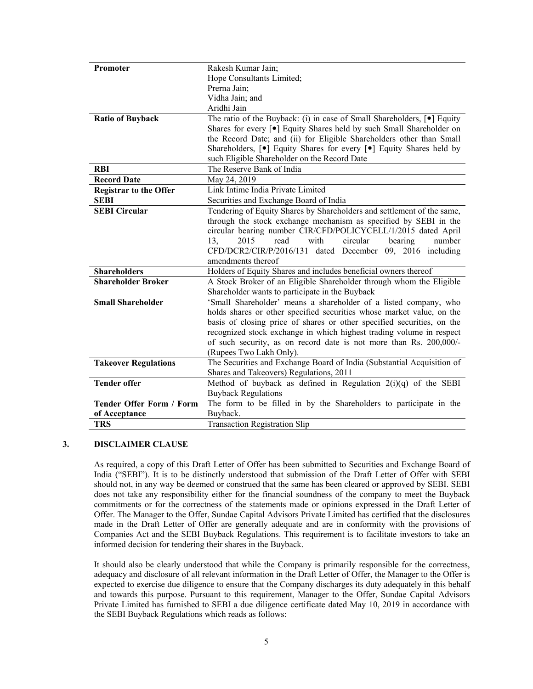| Promoter                        | Rakesh Kumar Jain;                                                                      |  |
|---------------------------------|-----------------------------------------------------------------------------------------|--|
|                                 | Hope Consultants Limited;                                                               |  |
|                                 | Prerna Jain;                                                                            |  |
|                                 | Vidha Jain; and                                                                         |  |
|                                 | Aridhi Jain                                                                             |  |
| <b>Ratio of Buyback</b>         | The ratio of the Buyback: (i) in case of Small Shareholders, [ $\bullet$ ] Equity       |  |
|                                 | Shares for every [ $\bullet$ ] Equity Shares held by such Small Shareholder on          |  |
|                                 | the Record Date; and (ii) for Eligible Shareholders other than Small                    |  |
|                                 | Shareholders, [ $\bullet$ ] Equity Shares for every [ $\bullet$ ] Equity Shares held by |  |
|                                 | such Eligible Shareholder on the Record Date                                            |  |
| <b>RBI</b>                      | The Reserve Bank of India                                                               |  |
| <b>Record Date</b>              | May 24, 2019                                                                            |  |
| <b>Registrar to the Offer</b>   | Link Intime India Private Limited                                                       |  |
| <b>SEBI</b>                     | Securities and Exchange Board of India                                                  |  |
| <b>SEBI Circular</b>            | Tendering of Equity Shares by Shareholders and settlement of the same,                  |  |
|                                 | through the stock exchange mechanism as specified by SEBI in the                        |  |
|                                 | circular bearing number CIR/CFD/POLICYCELL/1/2015 dated April                           |  |
|                                 | circular<br>13,<br>2015<br>read<br>with<br>bearing<br>number                            |  |
|                                 | CFD/DCR2/CIR/P/2016/131 dated December 09, 2016 including                               |  |
|                                 | amendments thereof                                                                      |  |
| <b>Shareholders</b>             | Holders of Equity Shares and includes beneficial owners thereof                         |  |
| <b>Shareholder Broker</b>       | A Stock Broker of an Eligible Shareholder through whom the Eligible                     |  |
|                                 | Shareholder wants to participate in the Buyback                                         |  |
| <b>Small Shareholder</b>        | 'Small Shareholder' means a shareholder of a listed company, who                        |  |
|                                 | holds shares or other specified securities whose market value, on the                   |  |
|                                 | basis of closing price of shares or other specified securities, on the                  |  |
|                                 | recognized stock exchange in which highest trading volume in respect                    |  |
|                                 | of such security, as on record date is not more than Rs. 200,000/-                      |  |
|                                 | (Rupees Two Lakh Only).                                                                 |  |
| <b>Takeover Regulations</b>     | The Securities and Exchange Board of India (Substantial Acquisition of                  |  |
|                                 | Shares and Takeovers) Regulations, 2011                                                 |  |
| <b>Tender offer</b>             | Method of buyback as defined in Regulation $2(i)(q)$ of the SEBI                        |  |
|                                 | <b>Buyback Regulations</b>                                                              |  |
| <b>Tender Offer Form / Form</b> | The form to be filled in by the Shareholders to participate in the                      |  |
| of Acceptance                   | Buyback.                                                                                |  |
| <b>TRS</b>                      | <b>Transaction Registration Slip</b>                                                    |  |

## **3. DISCLAIMER CLAUSE**

As required, a copy of this Draft Letter of Offer has been submitted to Securities and Exchange Board of India ("SEBI"). It is to be distinctly understood that submission of the Draft Letter of Offer with SEBI should not, in any way be deemed or construed that the same has been cleared or approved by SEBI. SEBI does not take any responsibility either for the financial soundness of the company to meet the Buyback commitments or for the correctness of the statements made or opinions expressed in the Draft Letter of Offer. The Manager to the Offer, Sundae Capital Advisors Private Limited has certified that the disclosures made in the Draft Letter of Offer are generally adequate and are in conformity with the provisions of Companies Act and the SEBI Buyback Regulations. This requirement is to facilitate investors to take an informed decision for tendering their shares in the Buyback.

It should also be clearly understood that while the Company is primarily responsible for the correctness, adequacy and disclosure of all relevant information in the Draft Letter of Offer, the Manager to the Offer is expected to exercise due diligence to ensure that the Company discharges its duty adequately in this behalf and towards this purpose. Pursuant to this requirement, Manager to the Offer, Sundae Capital Advisors Private Limited has furnished to SEBI a due diligence certificate dated May 10, 2019 in accordance with the SEBI Buyback Regulations which reads as follows: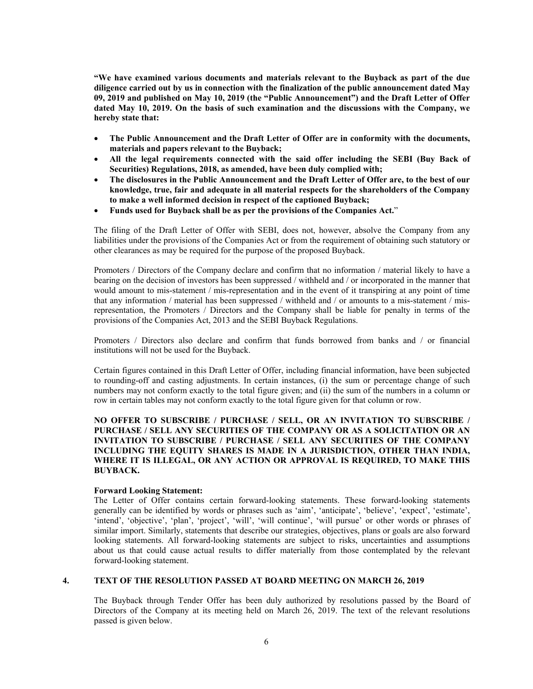**"We have examined various documents and materials relevant to the Buyback as part of the due diligence carried out by us in connection with the finalization of the public announcement dated May 09, 2019 and published on May 10, 2019 (the "Public Announcement") and the Draft Letter of Offer dated May 10, 2019. On the basis of such examination and the discussions with the Company, we hereby state that:** 

- **The Public Announcement and the Draft Letter of Offer are in conformity with the documents, materials and papers relevant to the Buyback;**
- **All the legal requirements connected with the said offer including the SEBI (Buy Back of Securities) Regulations, 2018, as amended, have been duly complied with;**
- **The disclosures in the Public Announcement and the Draft Letter of Offer are, to the best of our knowledge, true, fair and adequate in all material respects for the shareholders of the Company to make a well informed decision in respect of the captioned Buyback;**
- **Funds used for Buyback shall be as per the provisions of the Companies Act.**"

The filing of the Draft Letter of Offer with SEBI, does not, however, absolve the Company from any liabilities under the provisions of the Companies Act or from the requirement of obtaining such statutory or other clearances as may be required for the purpose of the proposed Buyback.

Promoters / Directors of the Company declare and confirm that no information / material likely to have a bearing on the decision of investors has been suppressed / withheld and / or incorporated in the manner that would amount to mis-statement / mis-representation and in the event of it transpiring at any point of time that any information / material has been suppressed / withheld and / or amounts to a mis-statement / misrepresentation, the Promoters / Directors and the Company shall be liable for penalty in terms of the provisions of the Companies Act, 2013 and the SEBI Buyback Regulations.

Promoters / Directors also declare and confirm that funds borrowed from banks and / or financial institutions will not be used for the Buyback.

Certain figures contained in this Draft Letter of Offer, including financial information, have been subjected to rounding-off and casting adjustments. In certain instances, (i) the sum or percentage change of such numbers may not conform exactly to the total figure given; and (ii) the sum of the numbers in a column or row in certain tables may not conform exactly to the total figure given for that column or row.

## **NO OFFER TO SUBSCRIBE / PURCHASE / SELL, OR AN INVITATION TO SUBSCRIBE / PURCHASE / SELL ANY SECURITIES OF THE COMPANY OR AS A SOLICITATION OR AN INVITATION TO SUBSCRIBE / PURCHASE / SELL ANY SECURITIES OF THE COMPANY INCLUDING THE EQUITY SHARES IS MADE IN A JURISDICTION, OTHER THAN INDIA, WHERE IT IS ILLEGAL, OR ANY ACTION OR APPROVAL IS REQUIRED, TO MAKE THIS BUYBACK.**

#### **Forward Looking Statement:**

The Letter of Offer contains certain forward-looking statements. These forward-looking statements generally can be identified by words or phrases such as 'aim', 'anticipate', 'believe', 'expect', 'estimate', 'intend', 'objective', 'plan', 'project', 'will', 'will continue', 'will pursue' or other words or phrases of similar import. Similarly, statements that describe our strategies, objectives, plans or goals are also forward looking statements. All forward-looking statements are subject to risks, uncertainties and assumptions about us that could cause actual results to differ materially from those contemplated by the relevant forward-looking statement.

## **4. TEXT OF THE RESOLUTION PASSED AT BOARD MEETING ON MARCH 26, 2019**

The Buyback through Tender Offer has been duly authorized by resolutions passed by the Board of Directors of the Company at its meeting held on March 26, 2019. The text of the relevant resolutions passed is given below.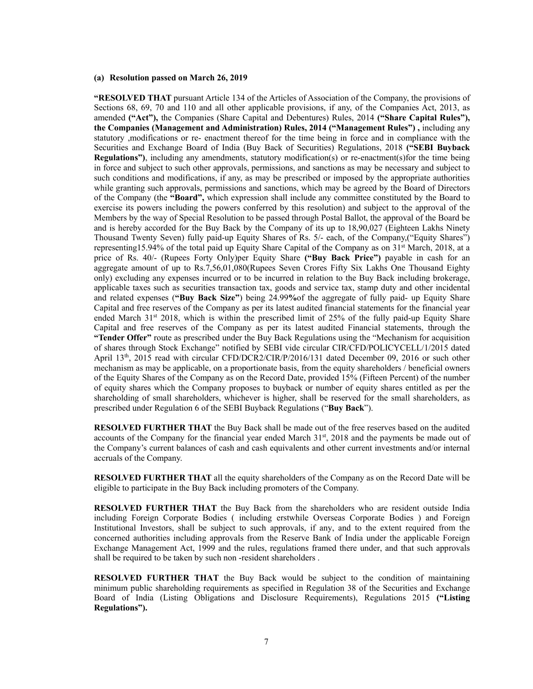#### **(a) Resolution passed on March 26, 2019**

**"RESOLVED THAT** pursuant Article 134 of the Articles of Association of the Company, the provisions of Sections 68, 69, 70 and 110 and all other applicable provisions, if any, of the Companies Act, 2013, as amended **("Act"),** the Companies (Share Capital and Debentures) Rules, 2014 **("Share Capital Rules"), the Companies (Management and Administration) Rules, 2014 ("Management Rules") ,** including any statutory ,modifications or re- enactment thereof for the time being in force and in compliance with the Securities and Exchange Board of India (Buy Back of Securities) Regulations, 2018 **("SEBI Buyback Regulations")**, including any amendments, statutory modification(s) or re-enactment(s)for the time being in force and subject to such other approvals, permissions, and sanctions as may be necessary and subject to such conditions and modifications, if any, as may be prescribed or imposed by the appropriate authorities while granting such approvals, permissions and sanctions, which may be agreed by the Board of Directors of the Company (the **"Board",** which expression shall include any committee constituted by the Board to exercise its powers including the powers conferred by this resolution) and subject to the approval of the Members by the way of Special Resolution to be passed through Postal Ballot, the approval of the Board be and is hereby accorded for the Buy Back by the Company of its up to 18,90,027 (Eighteen Lakhs Ninety Thousand Twenty Seven) fully paid-up Equity Shares of Rs. 5/- each, of the Company,("Equity Shares") representing 15.94% of the total paid up Equity Share Capital of the Company as on 31<sup>st</sup> March, 2018, at a price of Rs. 40/- (Rupees Forty Only)per Equity Share **("Buy Back Price")** payable in cash for an aggregate amount of up to Rs.7,56,01,080(Rupees Seven Crores Fifty Six Lakhs One Thousand Eighty only) excluding any expenses incurred or to be incurred in relation to the Buy Back including brokerage, applicable taxes such as securities transaction tax, goods and service tax, stamp duty and other incidental and related expenses (**"Buy Back Size"**) being 24.99**%**of the aggregate of fully paid- up Equity Share Capital and free reserves of the Company as per its latest audited financial statements for the financial year ended March  $31<sup>st</sup>$  2018, which is within the prescribed limit of 25% of the fully paid-up Equity Share Capital and free reserves of the Company as per its latest audited Financial statements, through the **"Tender Offer"** route as prescribed under the Buy Back Regulations using the "Mechanism for acquisition of shares through Stock Exchange" notified by SEBI vide circular CIR/CFD/POLICYCELL/1/2015 dated April 13<sup>th</sup>, 2015 read with circular CFD/DCR2/CIR/P/2016/131 dated December 09, 2016 or such other mechanism as may be applicable, on a proportionate basis, from the equity shareholders / beneficial owners of the Equity Shares of the Company as on the Record Date, provided 15% (Fifteen Percent) of the number of equity shares which the Company proposes to buyback or number of equity shares entitled as per the shareholding of small shareholders, whichever is higher, shall be reserved for the small shareholders, as prescribed under Regulation 6 of the SEBI Buyback Regulations ("**Buy Back**").

**RESOLVED FURTHER THAT** the Buy Back shall be made out of the free reserves based on the audited accounts of the Company for the financial year ended March 31<sup>st</sup>, 2018 and the payments be made out of the Company's current balances of cash and cash equivalents and other current investments and/or internal accruals of the Company.

**RESOLVED FURTHER THAT** all the equity shareholders of the Company as on the Record Date will be eligible to participate in the Buy Back including promoters of the Company.

**RESOLVED FURTHER THAT** the Buy Back from the shareholders who are resident outside India including Foreign Corporate Bodies ( including erstwhile Overseas Corporate Bodies ) and Foreign Institutional Investors, shall be subject to such approvals, if any, and to the extent required from the concerned authorities including approvals from the Reserve Bank of India under the applicable Foreign Exchange Management Act, 1999 and the rules, regulations framed there under, and that such approvals shall be required to be taken by such non -resident shareholders .

**RESOLVED FURTHER THAT** the Buy Back would be subject to the condition of maintaining minimum public shareholding requirements as specified in Regulation 38 of the Securities and Exchange Board of India (Listing Obligations and Disclosure Requirements), Regulations 2015 **("Listing Regulations").**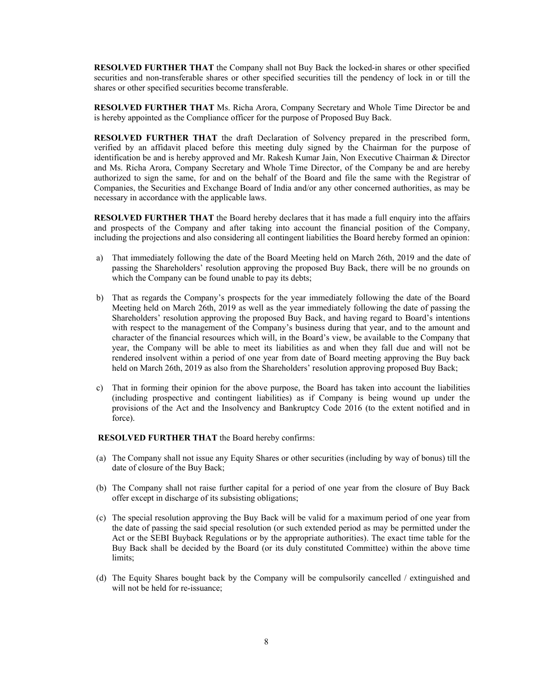**RESOLVED FURTHER THAT** the Company shall not Buy Back the locked-in shares or other specified securities and non-transferable shares or other specified securities till the pendency of lock in or till the shares or other specified securities become transferable.

**RESOLVED FURTHER THAT** Ms. Richa Arora, Company Secretary and Whole Time Director be and is hereby appointed as the Compliance officer for the purpose of Proposed Buy Back.

**RESOLVED FURTHER THAT** the draft Declaration of Solvency prepared in the prescribed form, verified by an affidavit placed before this meeting duly signed by the Chairman for the purpose of identification be and is hereby approved and Mr. Rakesh Kumar Jain, Non Executive Chairman & Director and Ms. Richa Arora, Company Secretary and Whole Time Director, of the Company be and are hereby authorized to sign the same, for and on the behalf of the Board and file the same with the Registrar of Companies, the Securities and Exchange Board of India and/or any other concerned authorities, as may be necessary in accordance with the applicable laws.

**RESOLVED FURTHER THAT** the Board hereby declares that it has made a full enquiry into the affairs and prospects of the Company and after taking into account the financial position of the Company, including the projections and also considering all contingent liabilities the Board hereby formed an opinion:

- a) That immediately following the date of the Board Meeting held on March 26th, 2019 and the date of passing the Shareholders' resolution approving the proposed Buy Back, there will be no grounds on which the Company can be found unable to pay its debts;
- b) That as regards the Company's prospects for the year immediately following the date of the Board Meeting held on March 26th, 2019 as well as the year immediately following the date of passing the Shareholders' resolution approving the proposed Buy Back, and having regard to Board's intentions with respect to the management of the Company's business during that year, and to the amount and character of the financial resources which will, in the Board's view, be available to the Company that year, the Company will be able to meet its liabilities as and when they fall due and will not be rendered insolvent within a period of one year from date of Board meeting approving the Buy back held on March 26th, 2019 as also from the Shareholders' resolution approving proposed Buy Back;
- c) That in forming their opinion for the above purpose, the Board has taken into account the liabilities (including prospective and contingent liabilities) as if Company is being wound up under the provisions of the Act and the Insolvency and Bankruptcy Code 2016 (to the extent notified and in force).

#### **RESOLVED FURTHER THAT** the Board hereby confirms:

- (a) The Company shall not issue any Equity Shares or other securities (including by way of bonus) till the date of closure of the Buy Back;
- (b) The Company shall not raise further capital for a period of one year from the closure of Buy Back offer except in discharge of its subsisting obligations;
- (c) The special resolution approving the Buy Back will be valid for a maximum period of one year from the date of passing the said special resolution (or such extended period as may be permitted under the Act or the SEBI Buyback Regulations or by the appropriate authorities). The exact time table for the Buy Back shall be decided by the Board (or its duly constituted Committee) within the above time limits;
- (d) The Equity Shares bought back by the Company will be compulsorily cancelled / extinguished and will not be held for re-issuance;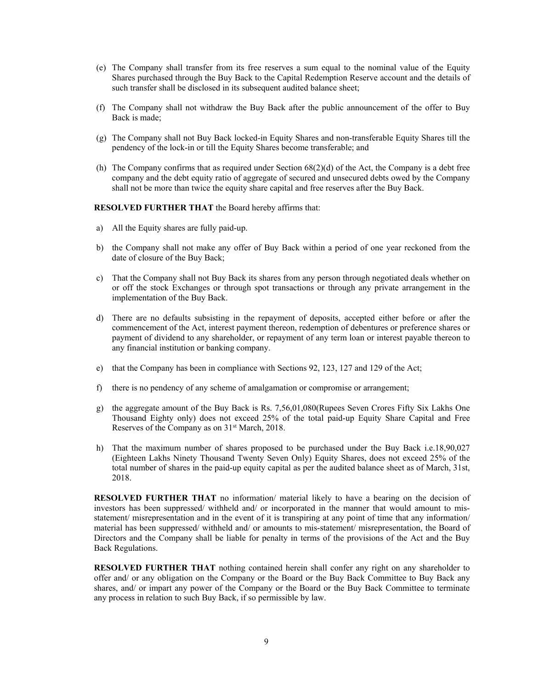- (e) The Company shall transfer from its free reserves a sum equal to the nominal value of the Equity Shares purchased through the Buy Back to the Capital Redemption Reserve account and the details of such transfer shall be disclosed in its subsequent audited balance sheet;
- (f) The Company shall not withdraw the Buy Back after the public announcement of the offer to Buy Back is made;
- (g) The Company shall not Buy Back locked-in Equity Shares and non-transferable Equity Shares till the pendency of the lock-in or till the Equity Shares become transferable; and
- (h) The Company confirms that as required under Section 68(2)(d) of the Act, the Company is a debt free company and the debt equity ratio of aggregate of secured and unsecured debts owed by the Company shall not be more than twice the equity share capital and free reserves after the Buy Back.

#### **RESOLVED FURTHER THAT** the Board hereby affirms that:

- a) All the Equity shares are fully paid-up.
- b) the Company shall not make any offer of Buy Back within a period of one year reckoned from the date of closure of the Buy Back;
- c) That the Company shall not Buy Back its shares from any person through negotiated deals whether on or off the stock Exchanges or through spot transactions or through any private arrangement in the implementation of the Buy Back.
- d) There are no defaults subsisting in the repayment of deposits, accepted either before or after the commencement of the Act, interest payment thereon, redemption of debentures or preference shares or payment of dividend to any shareholder, or repayment of any term loan or interest payable thereon to any financial institution or banking company.
- e) that the Company has been in compliance with Sections 92, 123, 127 and 129 of the Act;
- f) there is no pendency of any scheme of amalgamation or compromise or arrangement;
- g) the aggregate amount of the Buy Back is Rs. 7,56,01,080(Rupees Seven Crores Fifty Six Lakhs One Thousand Eighty only) does not exceed 25% of the total paid-up Equity Share Capital and Free Reserves of the Company as on 31st March, 2018.
- h) That the maximum number of shares proposed to be purchased under the Buy Back i.e.18,90,027 (Eighteen Lakhs Ninety Thousand Twenty Seven Only) Equity Shares, does not exceed 25% of the total number of shares in the paid-up equity capital as per the audited balance sheet as of March, 31st, 2018.

**RESOLVED FURTHER THAT** no information/ material likely to have a bearing on the decision of investors has been suppressed/ withheld and/ or incorporated in the manner that would amount to misstatement/ misrepresentation and in the event of it is transpiring at any point of time that any information/ material has been suppressed/ withheld and/ or amounts to mis-statement/ misrepresentation, the Board of Directors and the Company shall be liable for penalty in terms of the provisions of the Act and the Buy Back Regulations.

**RESOLVED FURTHER THAT** nothing contained herein shall confer any right on any shareholder to offer and/ or any obligation on the Company or the Board or the Buy Back Committee to Buy Back any shares, and/ or impart any power of the Company or the Board or the Buy Back Committee to terminate any process in relation to such Buy Back, if so permissible by law.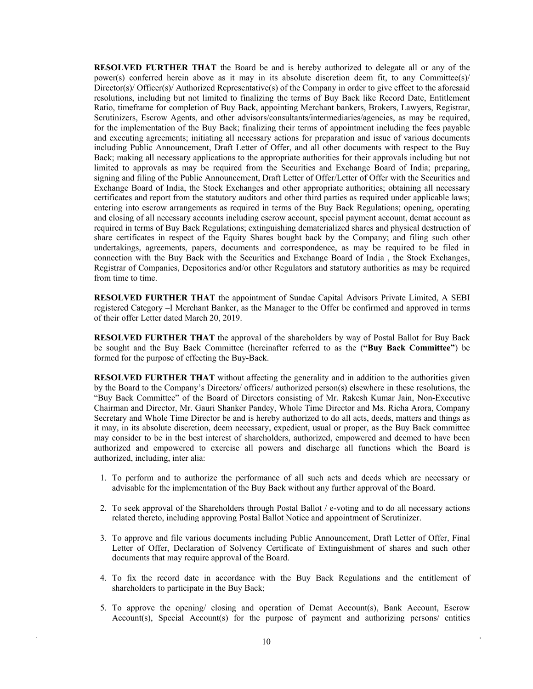**RESOLVED FURTHER THAT** the Board be and is hereby authorized to delegate all or any of the power(s) conferred herein above as it may in its absolute discretion deem fit, to any Committee(s)/ Director(s)/ Officer(s)/ Authorized Representative(s) of the Company in order to give effect to the aforesaid resolutions, including but not limited to finalizing the terms of Buy Back like Record Date, Entitlement Ratio, timeframe for completion of Buy Back, appointing Merchant bankers, Brokers, Lawyers, Registrar, Scrutinizers, Escrow Agents, and other advisors/consultants/intermediaries/agencies, as may be required, for the implementation of the Buy Back; finalizing their terms of appointment including the fees payable and executing agreements; initiating all necessary actions for preparation and issue of various documents including Public Announcement, Draft Letter of Offer, and all other documents with respect to the Buy Back; making all necessary applications to the appropriate authorities for their approvals including but not limited to approvals as may be required from the Securities and Exchange Board of India; preparing, signing and filing of the Public Announcement, Draft Letter of Offer/Letter of Offer with the Securities and Exchange Board of India, the Stock Exchanges and other appropriate authorities; obtaining all necessary certificates and report from the statutory auditors and other third parties as required under applicable laws; entering into escrow arrangements as required in terms of the Buy Back Regulations; opening, operating and closing of all necessary accounts including escrow account, special payment account, demat account as required in terms of Buy Back Regulations; extinguishing dematerialized shares and physical destruction of share certificates in respect of the Equity Shares bought back by the Company; and filing such other undertakings, agreements, papers, documents and correspondence, as may be required to be filed in connection with the Buy Back with the Securities and Exchange Board of India , the Stock Exchanges, Registrar of Companies, Depositories and/or other Regulators and statutory authorities as may be required from time to time.

**RESOLVED FURTHER THAT** the appointment of Sundae Capital Advisors Private Limited, A SEBI registered Category –I Merchant Banker, as the Manager to the Offer be confirmed and approved in terms of their offer Letter dated March 20, 2019.

**RESOLVED FURTHER THAT** the approval of the shareholders by way of Postal Ballot for Buy Back be sought and the Buy Back Committee (hereinafter referred to as the (**"Buy Back Committee"**) be formed for the purpose of effecting the Buy-Back.

**RESOLVED FURTHER THAT** without affecting the generality and in addition to the authorities given by the Board to the Company's Directors/ officers/ authorized person(s) elsewhere in these resolutions, the "Buy Back Committee" of the Board of Directors consisting of Mr. Rakesh Kumar Jain, Non-Executive Chairman and Director, Mr. Gauri Shanker Pandey, Whole Time Director and Ms. Richa Arora, Company Secretary and Whole Time Director be and is hereby authorized to do all acts, deeds, matters and things as it may, in its absolute discretion, deem necessary, expedient, usual or proper, as the Buy Back committee may consider to be in the best interest of shareholders, authorized, empowered and deemed to have been authorized and empowered to exercise all powers and discharge all functions which the Board is authorized, including, inter alia:

- 1. To perform and to authorize the performance of all such acts and deeds which are necessary or advisable for the implementation of the Buy Back without any further approval of the Board.
- 2. To seek approval of the Shareholders through Postal Ballot / e-voting and to do all necessary actions related thereto, including approving Postal Ballot Notice and appointment of Scrutinizer.
- 3. To approve and file various documents including Public Announcement, Draft Letter of Offer, Final Letter of Offer, Declaration of Solvency Certificate of Extinguishment of shares and such other documents that may require approval of the Board.
- 4. To fix the record date in accordance with the Buy Back Regulations and the entitlement of shareholders to participate in the Buy Back;
- 5. To approve the opening/ closing and operation of Demat Account(s), Bank Account, Escrow Account(s), Special Account(s) for the purpose of payment and authorizing persons/ entities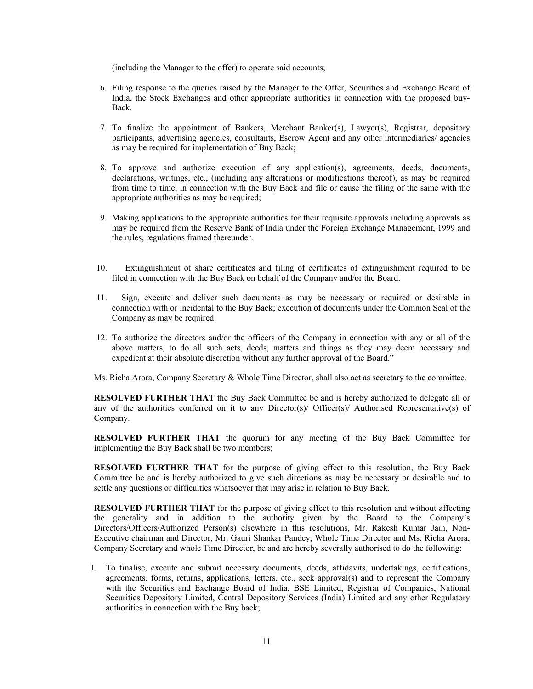(including the Manager to the offer) to operate said accounts;

- 6. Filing response to the queries raised by the Manager to the Offer, Securities and Exchange Board of India, the Stock Exchanges and other appropriate authorities in connection with the proposed buy-Back.
- 7. To finalize the appointment of Bankers, Merchant Banker(s), Lawyer(s), Registrar, depository participants, advertising agencies, consultants, Escrow Agent and any other intermediaries/ agencies as may be required for implementation of Buy Back;
- 8. To approve and authorize execution of any application(s), agreements, deeds, documents, declarations, writings, etc., (including any alterations or modifications thereof), as may be required from time to time, in connection with the Buy Back and file or cause the filing of the same with the appropriate authorities as may be required;
- 9. Making applications to the appropriate authorities for their requisite approvals including approvals as may be required from the Reserve Bank of India under the Foreign Exchange Management, 1999 and the rules, regulations framed thereunder.
- 10. Extinguishment of share certificates and filing of certificates of extinguishment required to be filed in connection with the Buy Back on behalf of the Company and/or the Board.
- 11. Sign, execute and deliver such documents as may be necessary or required or desirable in connection with or incidental to the Buy Back; execution of documents under the Common Seal of the Company as may be required.
- 12. To authorize the directors and/or the officers of the Company in connection with any or all of the above matters, to do all such acts, deeds, matters and things as they may deem necessary and expedient at their absolute discretion without any further approval of the Board."
- Ms. Richa Arora, Company Secretary & Whole Time Director, shall also act as secretary to the committee.

**RESOLVED FURTHER THAT** the Buy Back Committee be and is hereby authorized to delegate all or any of the authorities conferred on it to any Director(s)/ Officer(s)/ Authorised Representative(s) of Company.

**RESOLVED FURTHER THAT** the quorum for any meeting of the Buy Back Committee for implementing the Buy Back shall be two members;

**RESOLVED FURTHER THAT** for the purpose of giving effect to this resolution, the Buy Back Committee be and is hereby authorized to give such directions as may be necessary or desirable and to settle any questions or difficulties whatsoever that may arise in relation to Buy Back.

**RESOLVED FURTHER THAT** for the purpose of giving effect to this resolution and without affecting the generality and in addition to the authority given by the Board to the Company's Directors/Officers/Authorized Person(s) elsewhere in this resolutions, Mr. Rakesh Kumar Jain, Non-Executive chairman and Director, Mr. Gauri Shankar Pandey, Whole Time Director and Ms. Richa Arora, Company Secretary and whole Time Director, be and are hereby severally authorised to do the following:

1. To finalise, execute and submit necessary documents, deeds, affidavits, undertakings, certifications, agreements, forms, returns, applications, letters, etc., seek approval(s) and to represent the Company with the Securities and Exchange Board of India, BSE Limited, Registrar of Companies, National Securities Depository Limited, Central Depository Services (India) Limited and any other Regulatory authorities in connection with the Buy back;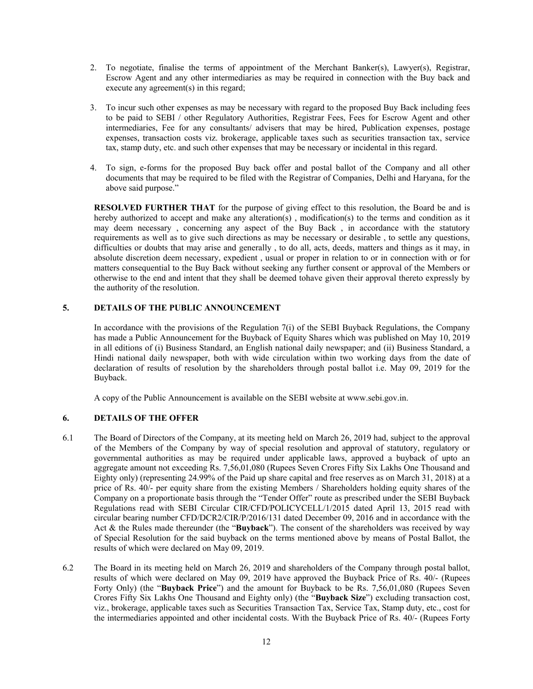- 2. To negotiate, finalise the terms of appointment of the Merchant Banker(s), Lawyer(s), Registrar, Escrow Agent and any other intermediaries as may be required in connection with the Buy back and execute any agreement(s) in this regard;
- 3. To incur such other expenses as may be necessary with regard to the proposed Buy Back including fees to be paid to SEBI / other Regulatory Authorities, Registrar Fees, Fees for Escrow Agent and other intermediaries, Fee for any consultants/ advisers that may be hired, Publication expenses, postage expenses, transaction costs viz. brokerage, applicable taxes such as securities transaction tax, service tax, stamp duty, etc. and such other expenses that may be necessary or incidental in this regard.
- 4. To sign, e-forms for the proposed Buy back offer and postal ballot of the Company and all other documents that may be required to be filed with the Registrar of Companies, Delhi and Haryana, for the above said purpose."

**RESOLVED FURTHER THAT** for the purpose of giving effect to this resolution, the Board be and is hereby authorized to accept and make any alteration(s), modification(s) to the terms and condition as it may deem necessary , concerning any aspect of the Buy Back , in accordance with the statutory requirements as well as to give such directions as may be necessary or desirable , to settle any questions, difficulties or doubts that may arise and generally , to do all, acts, deeds, matters and things as it may, in absolute discretion deem necessary, expedient , usual or proper in relation to or in connection with or for matters consequential to the Buy Back without seeking any further consent or approval of the Members or otherwise to the end and intent that they shall be deemed tohave given their approval thereto expressly by the authority of the resolution.

## **5. DETAILS OF THE PUBLIC ANNOUNCEMENT**

In accordance with the provisions of the Regulation 7(i) of the SEBI Buyback Regulations, the Company has made a Public Announcement for the Buyback of Equity Shares which was published on May 10, 2019 in all editions of (i) Business Standard, an English national daily newspaper; and (ii) Business Standard, a Hindi national daily newspaper, both with wide circulation within two working days from the date of declaration of results of resolution by the shareholders through postal ballot i.e. May 09, 2019 for the Buyback.

A copy of the Public Announcement is available on the SEBI website at www.sebi.gov.in.

## **6. DETAILS OF THE OFFER**

- 6.1 The Board of Directors of the Company, at its meeting held on March 26, 2019 had, subject to the approval of the Members of the Company by way of special resolution and approval of statutory, regulatory or governmental authorities as may be required under applicable laws, approved a buyback of upto an aggregate amount not exceeding Rs. 7,56,01,080 (Rupees Seven Crores Fifty Six Lakhs One Thousand and Eighty only) (representing 24.99% of the Paid up share capital and free reserves as on March 31, 2018) at a price of Rs. 40/- per equity share from the existing Members / Shareholders holding equity shares of the Company on a proportionate basis through the "Tender Offer" route as prescribed under the SEBI Buyback Regulations read with SEBI Circular CIR/CFD/POLICYCELL/1/2015 dated April 13, 2015 read with circular bearing number CFD/DCR2/CIR/P/2016/131 dated December 09, 2016 and in accordance with the Act & the Rules made thereunder (the "**Buyback**"). The consent of the shareholders was received by way of Special Resolution for the said buyback on the terms mentioned above by means of Postal Ballot, the results of which were declared on May 09, 2019.
- 6.2 The Board in its meeting held on March 26, 2019 and shareholders of the Company through postal ballot, results of which were declared on May 09, 2019 have approved the Buyback Price of Rs. 40/- (Rupees Forty Only) (the "**Buyback Price**") and the amount for Buyback to be Rs. 7,56,01,080 (Rupees Seven Crores Fifty Six Lakhs One Thousand and Eighty only) (the "**Buyback Size**") excluding transaction cost, viz., brokerage, applicable taxes such as Securities Transaction Tax, Service Tax, Stamp duty, etc., cost for the intermediaries appointed and other incidental costs. With the Buyback Price of Rs. 40/- (Rupees Forty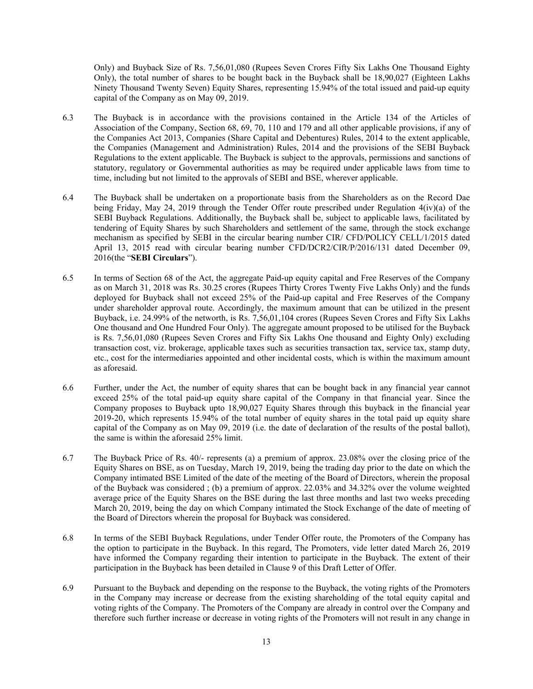Only) and Buyback Size of Rs. 7,56,01,080 (Rupees Seven Crores Fifty Six Lakhs One Thousand Eighty Only), the total number of shares to be bought back in the Buyback shall be 18,90,027 (Eighteen Lakhs Ninety Thousand Twenty Seven) Equity Shares, representing 15.94% of the total issued and paid-up equity capital of the Company as on May 09, 2019.

- 6.3 The Buyback is in accordance with the provisions contained in the Article 134 of the Articles of Association of the Company, Section 68, 69, 70, 110 and 179 and all other applicable provisions, if any of the Companies Act 2013, Companies (Share Capital and Debentures) Rules, 2014 to the extent applicable, the Companies (Management and Administration) Rules, 2014 and the provisions of the SEBI Buyback Regulations to the extent applicable. The Buyback is subject to the approvals, permissions and sanctions of statutory, regulatory or Governmental authorities as may be required under applicable laws from time to time, including but not limited to the approvals of SEBI and BSE, wherever applicable.
- 6.4 The Buyback shall be undertaken on a proportionate basis from the Shareholders as on the Record Dae being Friday, May 24, 2019 through the Tender Offer route prescribed under Regulation 4(iv)(a) of the SEBI Buyback Regulations. Additionally, the Buyback shall be, subject to applicable laws, facilitated by tendering of Equity Shares by such Shareholders and settlement of the same, through the stock exchange mechanism as specified by SEBI in the circular bearing number CIR/ CFD/POLICY CELL/1/2015 dated April 13, 2015 read with circular bearing number CFD/DCR2/CIR/P/2016/131 dated December 09, 2016(the "**SEBI Circulars**").
- 6.5 In terms of Section 68 of the Act, the aggregate Paid-up equity capital and Free Reserves of the Company as on March 31, 2018 was Rs. 30.25 crores (Rupees Thirty Crores Twenty Five Lakhs Only) and the funds deployed for Buyback shall not exceed 25% of the Paid-up capital and Free Reserves of the Company under shareholder approval route. Accordingly, the maximum amount that can be utilized in the present Buyback, i.e. 24.99% of the networth, is Rs. 7,56,01,104 crores (Rupees Seven Crores and Fifty Six Lakhs One thousand and One Hundred Four Only). The aggregate amount proposed to be utilised for the Buyback is Rs. 7,56,01,080 (Rupees Seven Crores and Fifty Six Lakhs One thousand and Eighty Only) excluding transaction cost, viz. brokerage, applicable taxes such as securities transaction tax, service tax, stamp duty, etc., cost for the intermediaries appointed and other incidental costs, which is within the maximum amount as aforesaid.
- 6.6 Further, under the Act, the number of equity shares that can be bought back in any financial year cannot exceed 25% of the total paid-up equity share capital of the Company in that financial year. Since the Company proposes to Buyback upto 18,90,027 Equity Shares through this buyback in the financial year 2019-20, which represents 15.94% of the total number of equity shares in the total paid up equity share capital of the Company as on May 09, 2019 (i.e. the date of declaration of the results of the postal ballot), the same is within the aforesaid 25% limit.
- 6.7 The Buyback Price of Rs. 40/- represents (a) a premium of approx. 23.08% over the closing price of the Equity Shares on BSE, as on Tuesday, March 19, 2019, being the trading day prior to the date on which the Company intimated BSE Limited of the date of the meeting of the Board of Directors, wherein the proposal of the Buyback was considered ; (b) a premium of approx. 22.03% and 34.32% over the volume weighted average price of the Equity Shares on the BSE during the last three months and last two weeks preceding March 20, 2019, being the day on which Company intimated the Stock Exchange of the date of meeting of the Board of Directors wherein the proposal for Buyback was considered.
- 6.8 In terms of the SEBI Buyback Regulations, under Tender Offer route, the Promoters of the Company has the option to participate in the Buyback. In this regard, The Promoters, vide letter dated March 26, 2019 have informed the Company regarding their intention to participate in the Buyback. The extent of their participation in the Buyback has been detailed in Clause 9 of this Draft Letter of Offer.
- 6.9 Pursuant to the Buyback and depending on the response to the Buyback, the voting rights of the Promoters in the Company may increase or decrease from the existing shareholding of the total equity capital and voting rights of the Company. The Promoters of the Company are already in control over the Company and therefore such further increase or decrease in voting rights of the Promoters will not result in any change in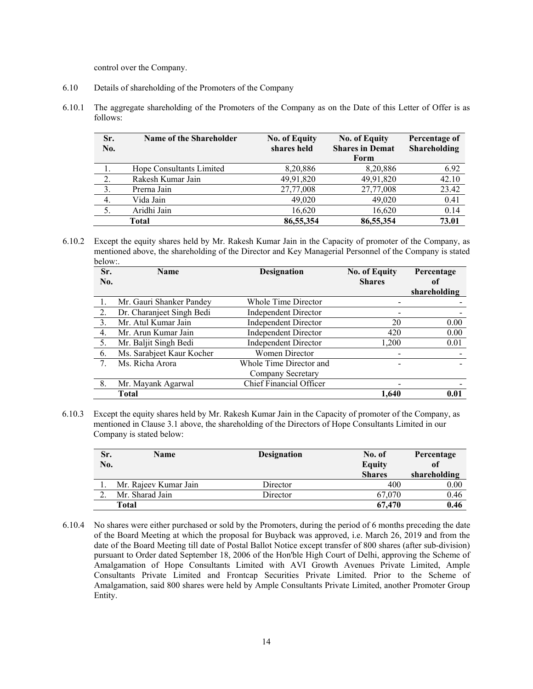control over the Company.

- 6.10 Details of shareholding of the Promoters of the Company
- 6.10.1 The aggregate shareholding of the Promoters of the Company as on the Date of this Letter of Offer is as follows:

| Sr.<br>No.       | <b>Name of the Shareholder</b> | <b>No. of Equity</b><br>shares held | <b>No. of Equity</b><br><b>Shares in Demat</b> | Percentage of<br>Shareholding |
|------------------|--------------------------------|-------------------------------------|------------------------------------------------|-------------------------------|
|                  |                                |                                     | Form                                           |                               |
| 1.               | Hope Consultants Limited       | 8,20,886                            | 8,20,886                                       | 6.92                          |
| 2.               | Rakesh Kumar Jain              | 49,91,820                           | 49,91,820                                      | 42.10                         |
| $\overline{3}$ . | Prerna Jain                    | 27,77,008                           | 27,77,008                                      | 23.42                         |
| 4.               | Vida Jain                      | 49,020                              | 49,020                                         | 0.41                          |
| 5.               | Aridhi Jain                    | 16,620                              | 16,620                                         | 0.14                          |
|                  | Total                          | 86,55,354                           | 86,55,354                                      | 73.01                         |

6.10.2 Except the equity shares held by Mr. Rakesh Kumar Jain in the Capacity of promoter of the Company, as mentioned above, the shareholding of the Director and Key Managerial Personnel of the Company is stated below:.

| Sr. | <b>Name</b>               | <b>Designation</b>          | <b>No. of Equity</b> | Percentage   |
|-----|---------------------------|-----------------------------|----------------------|--------------|
| No. |                           |                             | <b>Shares</b>        | of           |
|     |                           |                             |                      | shareholding |
|     | Mr. Gauri Shanker Pandey  | Whole Time Director         |                      |              |
| 2.  | Dr. Charanjeet Singh Bedi | <b>Independent Director</b> |                      |              |
| 3.  | Mr. Atul Kumar Jain       | <b>Independent Director</b> | 20                   | 0.00         |
| 4.  | Mr. Arun Kumar Jain       | <b>Independent Director</b> | 420                  | 0.00         |
| 5.  | Mr. Baljit Singh Bedi     | <b>Independent Director</b> | 1,200                | 0.01         |
| 6.  | Ms. Sarabjeet Kaur Kocher | Women Director              |                      |              |
| 7.  | Ms. Richa Arora           | Whole Time Director and     |                      |              |
|     |                           | Company Secretary           |                      |              |
| 8.  | Mr. Mayank Agarwal        | Chief Financial Officer     |                      |              |
|     | <b>Total</b>              |                             | 1.640                | 0.01         |

6.10.3 Except the equity shares held by Mr. Rakesh Kumar Jain in the Capacity of promoter of the Company, as mentioned in Clause 3.1 above, the shareholding of the Directors of Hope Consultants Limited in our Company is stated below:

| Sr. | Name                  | <b>Designation</b> | No. of        | Percentage   |
|-----|-----------------------|--------------------|---------------|--------------|
| No. |                       |                    | <b>Equity</b> | of           |
|     |                       |                    | <b>Shares</b> | shareholding |
|     | Mr. Rajeev Kumar Jain | Director           | 400           | 0.00         |
|     | Mr. Sharad Jain       | Director           | 67,070        | 0.46         |
|     | Total                 |                    | 67,470        | 0.46         |

6.10.4 No shares were either purchased or sold by the Promoters, during the period of 6 months preceding the date of the Board Meeting at which the proposal for Buyback was approved, i.e. March 26, 2019 and from the date of the Board Meeting till date of Postal Ballot Notice except transfer of 800 shares (after sub-division) pursuant to Order dated September 18, 2006 of the Hon'ble High Court of Delhi, approving the Scheme of Amalgamation of Hope Consultants Limited with AVI Growth Avenues Private Limited, Ample Consultants Private Limited and Frontcap Securities Private Limited. Prior to the Scheme of Amalgamation, said 800 shares were held by Ample Consultants Private Limited, another Promoter Group Entity.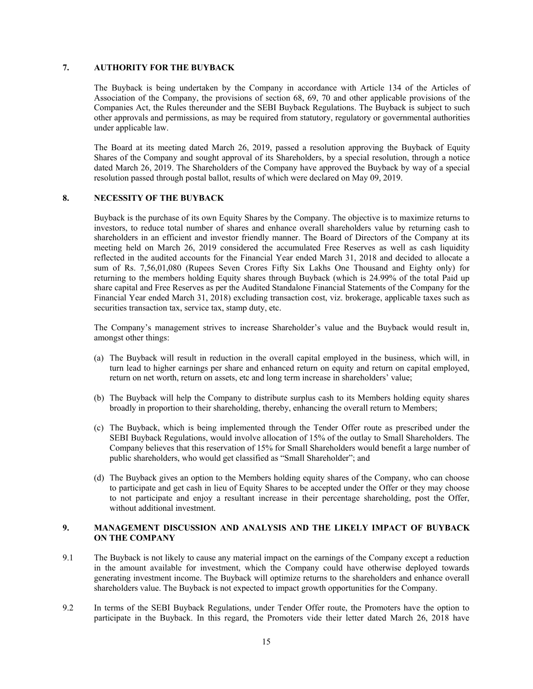## **7. AUTHORITY FOR THE BUYBACK**

The Buyback is being undertaken by the Company in accordance with Article 134 of the Articles of Association of the Company, the provisions of section 68, 69, 70 and other applicable provisions of the Companies Act, the Rules thereunder and the SEBI Buyback Regulations. The Buyback is subject to such other approvals and permissions, as may be required from statutory, regulatory or governmental authorities under applicable law.

The Board at its meeting dated March 26, 2019, passed a resolution approving the Buyback of Equity Shares of the Company and sought approval of its Shareholders, by a special resolution, through a notice dated March 26, 2019. The Shareholders of the Company have approved the Buyback by way of a special resolution passed through postal ballot, results of which were declared on May 09, 2019.

## **8. NECESSITY OF THE BUYBACK**

Buyback is the purchase of its own Equity Shares by the Company. The objective is to maximize returns to investors, to reduce total number of shares and enhance overall shareholders value by returning cash to shareholders in an efficient and investor friendly manner. The Board of Directors of the Company at its meeting held on March 26, 2019 considered the accumulated Free Reserves as well as cash liquidity reflected in the audited accounts for the Financial Year ended March 31, 2018 and decided to allocate a sum of Rs. 7,56,01,080 (Rupees Seven Crores Fifty Six Lakhs One Thousand and Eighty only) for returning to the members holding Equity shares through Buyback (which is 24.99% of the total Paid up share capital and Free Reserves as per the Audited Standalone Financial Statements of the Company for the Financial Year ended March 31, 2018) excluding transaction cost, viz. brokerage, applicable taxes such as securities transaction tax, service tax, stamp duty, etc.

The Company's management strives to increase Shareholder's value and the Buyback would result in, amongst other things:

- (a) The Buyback will result in reduction in the overall capital employed in the business, which will, in turn lead to higher earnings per share and enhanced return on equity and return on capital employed, return on net worth, return on assets, etc and long term increase in shareholders' value;
- (b) The Buyback will help the Company to distribute surplus cash to its Members holding equity shares broadly in proportion to their shareholding, thereby, enhancing the overall return to Members;
- (c) The Buyback, which is being implemented through the Tender Offer route as prescribed under the SEBI Buyback Regulations, would involve allocation of 15% of the outlay to Small Shareholders. The Company believes that this reservation of 15% for Small Shareholders would benefit a large number of public shareholders, who would get classified as "Small Shareholder"; and
- (d) The Buyback gives an option to the Members holding equity shares of the Company, who can choose to participate and get cash in lieu of Equity Shares to be accepted under the Offer or they may choose to not participate and enjoy a resultant increase in their percentage shareholding, post the Offer, without additional investment.

## **9. MANAGEMENT DISCUSSION AND ANALYSIS AND THE LIKELY IMPACT OF BUYBACK ON THE COMPANY**

- 9.1 The Buyback is not likely to cause any material impact on the earnings of the Company except a reduction in the amount available for investment, which the Company could have otherwise deployed towards generating investment income. The Buyback will optimize returns to the shareholders and enhance overall shareholders value. The Buyback is not expected to impact growth opportunities for the Company.
- 9.2 In terms of the SEBI Buyback Regulations, under Tender Offer route, the Promoters have the option to participate in the Buyback. In this regard, the Promoters vide their letter dated March 26, 2018 have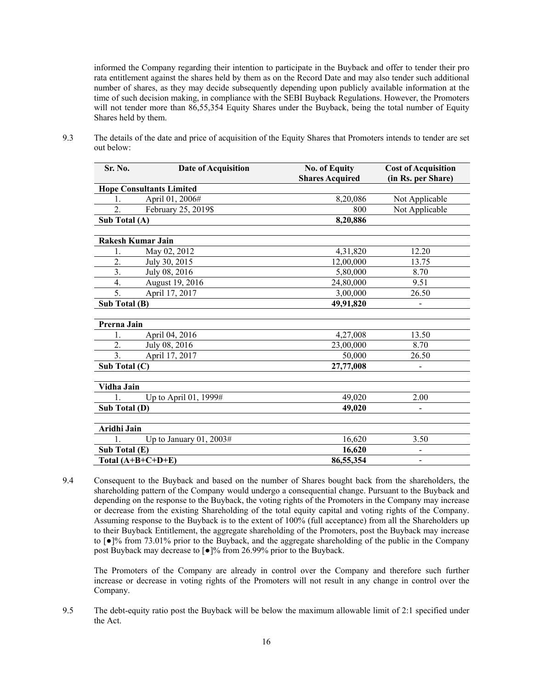informed the Company regarding their intention to participate in the Buyback and offer to tender their pro rata entitlement against the shares held by them as on the Record Date and may also tender such additional number of shares, as they may decide subsequently depending upon publicly available information at the time of such decision making, in compliance with the SEBI Buyback Regulations. However, the Promoters will not tender more than 86,55,354 Equity Shares under the Buyback, being the total number of Equity Shares held by them.

| Sr. No.                         | <b>Date of Acquisition</b> | <b>No. of Equity</b><br><b>Shares Acquired</b> | <b>Cost of Acquisition</b><br>(in Rs. per Share) |
|---------------------------------|----------------------------|------------------------------------------------|--------------------------------------------------|
| <b>Hope Consultants Limited</b> |                            |                                                |                                                  |
| 1.                              | April 01, 2006#            | 8,20,086                                       | Not Applicable                                   |
| $\overline{2}$ .                | February 25, 2019\$        | 800                                            | Not Applicable                                   |
| Sub Total (A)                   |                            | 8,20,886                                       |                                                  |
| <b>Rakesh Kumar Jain</b>        |                            |                                                |                                                  |
| 1.                              | May 02, 2012               | 4,31,820                                       | 12.20                                            |
| 2.                              | July 30, 2015              | 12,00,000                                      | 13.75                                            |
| 3.                              | July 08, 2016              | 5,80,000                                       | 8.70                                             |
| 4.                              | August 19, 2016            | 24,80,000                                      | 9.51                                             |
| 5.                              | April 17, 2017             | 3,00,000                                       | 26.50                                            |
| Sub Total (B)                   |                            | 49,91,820                                      |                                                  |
| Prerna Jain                     |                            |                                                |                                                  |
| $\mathbf{1}$ .                  | April 04, 2016             | 4,27,008                                       | 13.50                                            |
| $\overline{2}$ .                | July 08, 2016              | 23,00,000                                      | 8.70                                             |
| $\overline{3}$ .                | April 17, 2017             | 50,000                                         | 26.50                                            |
| Sub Total $(C)$                 |                            | 27,77,008                                      |                                                  |
| Vidha Jain                      |                            |                                                |                                                  |
| 1.                              | Up to April 01, 1999#      | 49,020                                         | 2.00                                             |
| Sub Total (D)                   |                            | 49,020                                         |                                                  |
| Aridhi Jain                     |                            |                                                |                                                  |
| $\mathbf{1}$ .                  | Up to January 01, 2003#    | 16,620                                         | 3.50                                             |
| Sub Total (E)                   |                            | 16,620                                         |                                                  |
| Total $(A+B+C+D+E)$             |                            | 86,55,354                                      | $\overline{\phantom{a}}$                         |

9.3 The details of the date and price of acquisition of the Equity Shares that Promoters intends to tender are set out below:

9.4 Consequent to the Buyback and based on the number of Shares bought back from the shareholders, the shareholding pattern of the Company would undergo a consequential change. Pursuant to the Buyback and depending on the response to the Buyback, the voting rights of the Promoters in the Company may increase or decrease from the existing Shareholding of the total equity capital and voting rights of the Company. Assuming response to the Buyback is to the extent of 100% (full acceptance) from all the Shareholders up to their Buyback Entitlement, the aggregate shareholding of the Promoters, post the Buyback may increase to [●]% from 73.01% prior to the Buyback, and the aggregate shareholding of the public in the Company post Buyback may decrease to [●]% from 26.99% prior to the Buyback.

The Promoters of the Company are already in control over the Company and therefore such further increase or decrease in voting rights of the Promoters will not result in any change in control over the Company.

9.5 The debt-equity ratio post the Buyback will be below the maximum allowable limit of 2:1 specified under the Act.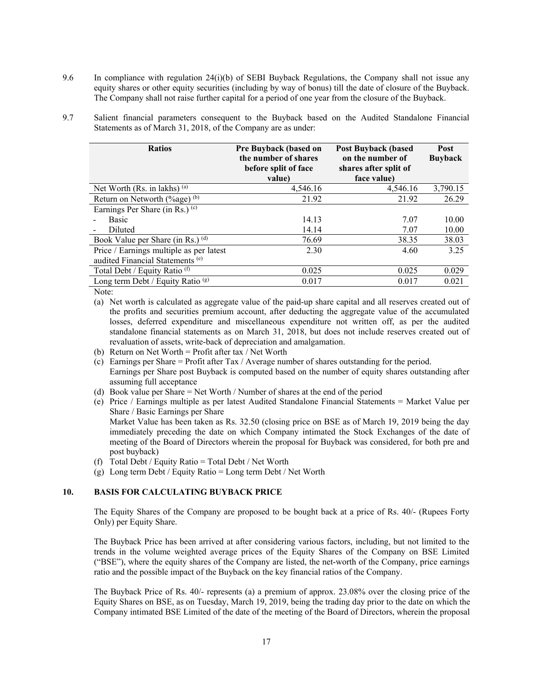- 9.6 In compliance with regulation 24(i)(b) of SEBI Buyback Regulations, the Company shall not issue any equity shares or other equity securities (including by way of bonus) till the date of closure of the Buyback. The Company shall not raise further capital for a period of one year from the closure of the Buyback.
- 9.7 Salient financial parameters consequent to the Buyback based on the Audited Standalone Financial Statements as of March 31, 2018, of the Company are as under:

| <b>Ratios</b>                                | <b>Pre Buyback (based on</b><br>the number of shares<br>before split of face<br>value) | <b>Post Buyback (based)</b><br>on the number of<br>shares after split of<br>face value) | <b>Post</b><br><b>Buyback</b> |
|----------------------------------------------|----------------------------------------------------------------------------------------|-----------------------------------------------------------------------------------------|-------------------------------|
| Net Worth (Rs. in lakhs) (a)                 | 4,546.16                                                                               | 4,546.16                                                                                | 3,790.15                      |
| Return on Networth $(\%$ age) (b)            | 21.92                                                                                  | 21.92                                                                                   | 26.29                         |
| Earnings Per Share (in Rs.) $(c)$            |                                                                                        |                                                                                         |                               |
| <b>Basic</b>                                 | 14.13                                                                                  | 7.07                                                                                    | 10.00                         |
| Diluted                                      | 14.14                                                                                  | 7.07                                                                                    | 10.00                         |
| Book Value per Share (in Rs.) (d)            | 76.69                                                                                  | 38.35                                                                                   | 38.03                         |
| Price / Earnings multiple as per latest      | 2.30                                                                                   | 4.60                                                                                    | 3.25                          |
| audited Financial Statements <sup>(e)</sup>  |                                                                                        |                                                                                         |                               |
| Total Debt / Equity Ratio <sup>(f)</sup>     | 0.025                                                                                  | 0.025                                                                                   | 0.029                         |
| Long term Debt / Equity Ratio <sup>(g)</sup> | 0.017                                                                                  | 0.017                                                                                   | 0.021                         |

Note:

- (a) Net worth is calculated as aggregate value of the paid-up share capital and all reserves created out of the profits and securities premium account, after deducting the aggregate value of the accumulated losses, deferred expenditure and miscellaneous expenditure not written off, as per the audited standalone financial statements as on March 31, 2018, but does not include reserves created out of revaluation of assets, write-back of depreciation and amalgamation.
- (b) Return on Net Worth = Profit after tax / Net Worth
- (c) Earnings per Share  $=$  Profit after Tax / Average number of shares outstanding for the period. Earnings per Share post Buyback is computed based on the number of equity shares outstanding after assuming full acceptance
- (d) Book value per Share = Net Worth / Number of shares at the end of the period
- (e) Price / Earnings multiple as per latest Audited Standalone Financial Statements = Market Value per Share / Basic Earnings per Share Market Value has been taken as Rs. 32.50 (closing price on BSE as of March 19, 2019 being the day immediately preceding the date on which Company intimated the Stock Exchanges of the date of meeting of the Board of Directors wherein the proposal for Buyback was considered, for both pre and post buyback)
- (f) Total Debt / Equity Ratio = Total Debt / Net Worth
- (g) Long term Debt / Equity Ratio = Long term Debt / Net Worth

### **10. BASIS FOR CALCULATING BUYBACK PRICE**

The Equity Shares of the Company are proposed to be bought back at a price of Rs. 40/- (Rupees Forty Only) per Equity Share.

The Buyback Price has been arrived at after considering various factors, including, but not limited to the trends in the volume weighted average prices of the Equity Shares of the Company on BSE Limited ("BSE"), where the equity shares of the Company are listed, the net-worth of the Company, price earnings ratio and the possible impact of the Buyback on the key financial ratios of the Company.

The Buyback Price of Rs. 40/- represents (a) a premium of approx. 23.08% over the closing price of the Equity Shares on BSE, as on Tuesday, March 19, 2019, being the trading day prior to the date on which the Company intimated BSE Limited of the date of the meeting of the Board of Directors, wherein the proposal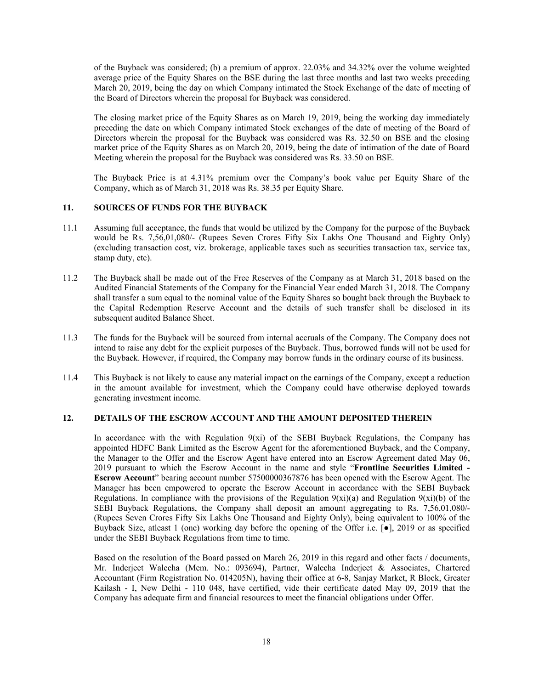of the Buyback was considered; (b) a premium of approx. 22.03% and 34.32% over the volume weighted average price of the Equity Shares on the BSE during the last three months and last two weeks preceding March 20, 2019, being the day on which Company intimated the Stock Exchange of the date of meeting of the Board of Directors wherein the proposal for Buyback was considered.

The closing market price of the Equity Shares as on March 19, 2019, being the working day immediately preceding the date on which Company intimated Stock exchanges of the date of meeting of the Board of Directors wherein the proposal for the Buyback was considered was Rs. 32.50 on BSE and the closing market price of the Equity Shares as on March 20, 2019, being the date of intimation of the date of Board Meeting wherein the proposal for the Buyback was considered was Rs. 33.50 on BSE.

The Buyback Price is at 4.31% premium over the Company's book value per Equity Share of the Company, which as of March 31, 2018 was Rs. 38.35 per Equity Share.

## **11. SOURCES OF FUNDS FOR THE BUYBACK**

- 11.1 Assuming full acceptance, the funds that would be utilized by the Company for the purpose of the Buyback would be Rs. 7,56,01,080/- (Rupees Seven Crores Fifty Six Lakhs One Thousand and Eighty Only) (excluding transaction cost, viz. brokerage, applicable taxes such as securities transaction tax, service tax, stamp duty, etc).
- 11.2 The Buyback shall be made out of the Free Reserves of the Company as at March 31, 2018 based on the Audited Financial Statements of the Company for the Financial Year ended March 31, 2018. The Company shall transfer a sum equal to the nominal value of the Equity Shares so bought back through the Buyback to the Capital Redemption Reserve Account and the details of such transfer shall be disclosed in its subsequent audited Balance Sheet.
- 11.3 The funds for the Buyback will be sourced from internal accruals of the Company. The Company does not intend to raise any debt for the explicit purposes of the Buyback. Thus, borrowed funds will not be used for the Buyback. However, if required, the Company may borrow funds in the ordinary course of its business.
- 11.4 This Buyback is not likely to cause any material impact on the earnings of the Company, except a reduction in the amount available for investment, which the Company could have otherwise deployed towards generating investment income.

#### **12. DETAILS OF THE ESCROW ACCOUNT AND THE AMOUNT DEPOSITED THEREIN**

In accordance with the with Regulation  $9(xi)$  of the SEBI Buyback Regulations, the Company has appointed HDFC Bank Limited as the Escrow Agent for the aforementioned Buyback, and the Company, the Manager to the Offer and the Escrow Agent have entered into an Escrow Agreement dated May 06, 2019 pursuant to which the Escrow Account in the name and style "**Frontline Securities Limited - Escrow Account**" bearing account number 57500000367876 has been opened with the Escrow Agent. The Manager has been empowered to operate the Escrow Account in accordance with the SEBI Buyback Regulations. In compliance with the provisions of the Regulation  $9(xi)(a)$  and Regulation  $9(xi)(b)$  of the SEBI Buyback Regulations, the Company shall deposit an amount aggregating to Rs. 7,56,01,080/- (Rupees Seven Crores Fifty Six Lakhs One Thousand and Eighty Only), being equivalent to 100% of the Buyback Size, atleast 1 (one) working day before the opening of the Offer i.e. [●], 2019 or as specified under the SEBI Buyback Regulations from time to time.

Based on the resolution of the Board passed on March 26, 2019 in this regard and other facts / documents, Mr. Inderjeet Walecha (Mem. No.: 093694), Partner, Walecha Inderjeet & Associates, Chartered Accountant (Firm Registration No. 014205N), having their office at 6-8, Sanjay Market, R Block, Greater Kailash - I, New Delhi - 110 048, have certified, vide their certificate dated May 09, 2019 that the Company has adequate firm and financial resources to meet the financial obligations under Offer.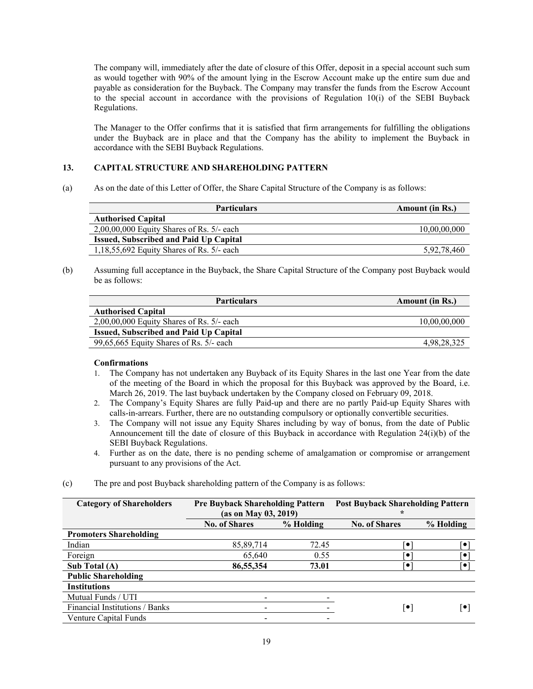The company will, immediately after the date of closure of this Offer, deposit in a special account such sum as would together with 90% of the amount lying in the Escrow Account make up the entire sum due and payable as consideration for the Buyback. The Company may transfer the funds from the Escrow Account to the special account in accordance with the provisions of Regulation 10(i) of the SEBI Buyback Regulations.

The Manager to the Offer confirms that it is satisfied that firm arrangements for fulfilling the obligations under the Buyback are in place and that the Company has the ability to implement the Buyback in accordance with the SEBI Buyback Regulations.

## **13. CAPITAL STRUCTURE AND SHAREHOLDING PATTERN**

(a) As on the date of this Letter of Offer, the Share Capital Structure of the Company is as follows:

| <b>Particulars</b>                            | <b>Amount</b> (in Rs.) |
|-----------------------------------------------|------------------------|
| <b>Authorised Capital</b>                     |                        |
| $2,00,00,000$ Equity Shares of Rs. 5/- each   | 10,00,00,000           |
| <b>Issued, Subscribed and Paid Up Capital</b> |                        |
| 1,18,55,692 Equity Shares of Rs. $5/-$ each   | 5.92.78.460            |

(b) Assuming full acceptance in the Buyback, the Share Capital Structure of the Company post Buyback would be as follows:

| <b>Amount</b> (in Rs.) |
|------------------------|
|                        |
| 10,00,00,000           |
|                        |
| 4,98,28,325            |
|                        |

## **Confirmations**

- 1. The Company has not undertaken any Buyback of its Equity Shares in the last one Year from the date of the meeting of the Board in which the proposal for this Buyback was approved by the Board, i.e. March 26, 2019. The last buyback undertaken by the Company closed on February 09, 2018.
- 2. The Company's Equity Shares are fully Paid-up and there are no partly Paid-up Equity Shares with calls-in-arrears. Further, there are no outstanding compulsory or optionally convertible securities.
- 3. The Company will not issue any Equity Shares including by way of bonus, from the date of Public Announcement till the date of closure of this Buyback in accordance with Regulation 24(i)(b) of the SEBI Buyback Regulations.
- 4. Further as on the date, there is no pending scheme of amalgamation or compromise or arrangement pursuant to any provisions of the Act.

| (c) |  | The pre and post Buyback shareholding pattern of the Company is as follows: |
|-----|--|-----------------------------------------------------------------------------|
|     |  |                                                                             |

| <b>Category of Shareholders</b> |                      | <b>Pre Buyback Shareholding Pattern</b><br>(as on May 03, 2019) |                      | <b>Post Buyback Shareholding Pattern</b> |
|---------------------------------|----------------------|-----------------------------------------------------------------|----------------------|------------------------------------------|
|                                 | <b>No. of Shares</b> | % Holding                                                       | <b>No. of Shares</b> | % Holding                                |
| <b>Promoters Shareholding</b>   |                      |                                                                 |                      |                                          |
| Indian                          | 85,89,714            | 72.45                                                           |                      | o                                        |
| Foreign                         | 65.640               | 0.55                                                            | $\bullet$            | Ō                                        |
| Sub Total (A)                   | 86,55,354            | 73.01                                                           | ٠                    | Ō                                        |
| <b>Public Shareholding</b>      |                      |                                                                 |                      |                                          |
| <b>Institutions</b>             |                      |                                                                 |                      |                                          |
| Mutual Funds / UTI              |                      |                                                                 |                      |                                          |
| Financial Institutions / Banks  |                      |                                                                 | $ \bullet $          | ∣•                                       |
| <b>Venture Capital Funds</b>    |                      |                                                                 |                      |                                          |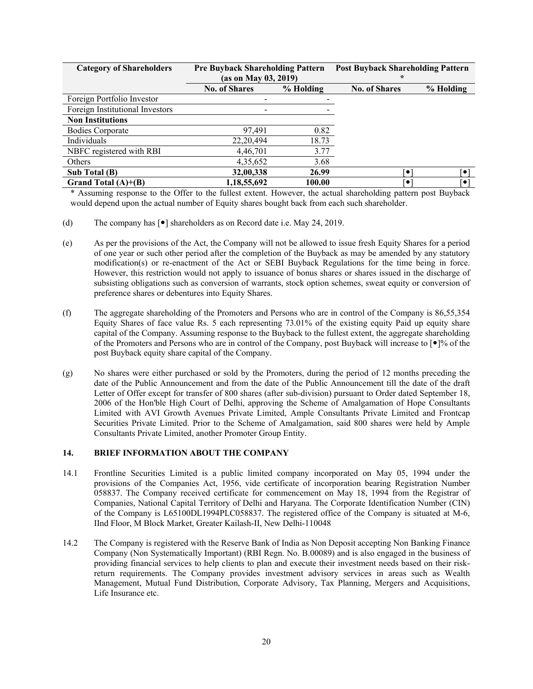| <b>Category of Shareholders</b> | <b>Pre Buyback Shareholding Pattern</b><br>(as on May 03, 2019) |           | <b>Post Buyback Shareholding Pattern</b><br>÷ |           |
|---------------------------------|-----------------------------------------------------------------|-----------|-----------------------------------------------|-----------|
|                                 | <b>No. of Shares</b>                                            | % Holding | <b>No. of Shares</b>                          | % Holding |
| Foreign Portfolio Investor      |                                                                 |           |                                               |           |
| Foreign Institutional Investors |                                                                 |           |                                               |           |
| <b>Non Institutions</b>         |                                                                 |           |                                               |           |
| <b>Bodies Corporate</b>         | 0.82<br>97.491                                                  |           |                                               |           |
| Individuals                     | 18.73<br>22, 20, 494                                            |           |                                               |           |
| NBFC registered with RBI        | 3.77<br>4,46,701                                                |           |                                               |           |
| Others                          | 4,35,652                                                        | 3.68      |                                               |           |
| Sub Total (B)                   | 32,00,338                                                       | 26.99     | $\bullet$                                     | $\bullet$ |
| Grand Total $(A)+(B)$           | 1,18,55,692                                                     | 100.00    | ٠                                             | ī•        |

\* Assuming response to the Offer to the fullest extent. However, the actual shareholding pattern post Buyback would depend upon the actual number of Equity shares bought back from each such shareholder.

- (d) The company has  $\lceil \bullet \rceil$  shareholders as on Record date i.e. May 24, 2019.
- (e) As per the provisions of the Act, the Company will not be allowed to issue fresh Equity Shares for a period of one year or such other period after the completion of the Buyback as may be amended by any statutory modification(s) or re-enactment of the Act or SEBI Buyback Regulations for the time being in force. However, this restriction would not apply to issuance of bonus shares or shares issued in the discharge of subsisting obligations such as conversion of warrants, stock option schemes, sweat equity or conversion of preference shares or debentures into Equity Shares.
- (f) The aggregate shareholding of the Promoters and Persons who are in control of the Company is 86,55,354 Equity Shares of face value Rs. 5 each representing 73.01% of the existing equity Paid up equity share capital of the Company. Assuming response to the Buyback to the fullest extent, the aggregate shareholding of the Promoters and Persons who are in control of the Company, post Buyback will increase to  $\lceil \cdot \rceil\%$  of the post Buyback equity share capital of the Company.
- (g) No shares were either purchased or sold by the Promoters, during the period of 12 months preceding the date of the Public Announcement and from the date of the Public Announcement till the date of the draft Letter of Offer except for transfer of 800 shares (after sub-division) pursuant to Order dated September 18, 2006 of the Hon'ble High Court of Delhi, approving the Scheme of Amalgamation of Hope Consultants Limited with AVI Growth Avenues Private Limited, Ample Consultants Private Limited and Frontcap Securities Private Limited. Prior to the Scheme of Amalgamation, said 800 shares were held by Ample Consultants Private Limited, another Promoter Group Entity.

## **14. BRIEF INFORMATION ABOUT THE COMPANY**

- 14.1 Frontline Securities Limited is a public limited company incorporated on May 05, 1994 under the provisions of the Companies Act, 1956, vide certificate of incorporation bearing Registration Number 058837. The Company received certificate for commencement on May 18, 1994 from the Registrar of Companies, National Capital Territory of Delhi and Haryana. The Corporate Identification Number (CIN) of the Company is L65100DL1994PLC058837. The registered office of the Company is situated at M-6, IInd Floor, M Block Market, Greater Kailash-II, New Delhi-110048
- 14.2 The Company is registered with the Reserve Bank of India as Non Deposit accepting Non Banking Finance Company (Non Systematically Important) (RBI Regn. No. B.00089) and is also engaged in the business of providing financial services to help clients to plan and execute their investment needs based on their riskreturn requirements. The Company provides investment advisory services in areas such as Wealth Management, Mutual Fund Distribution, Corporate Advisory, Tax Planning, Mergers and Acquisitions, Life Insurance etc.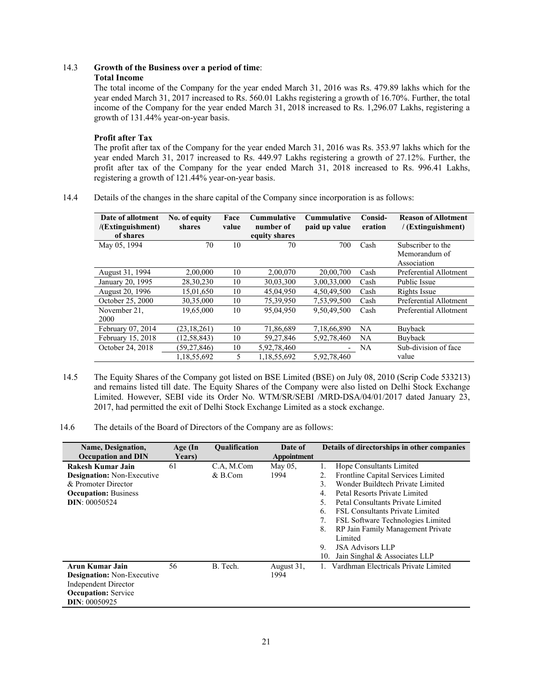## 14.3 **Growth of the Business over a period of time**:

## **Total Income**

The total income of the Company for the year ended March 31, 2016 was Rs. 479.89 lakhs which for the year ended March 31, 2017 increased to Rs. 560.01 Lakhs registering a growth of 16.70%. Further, the total income of the Company for the year ended March 31, 2018 increased to Rs. 1,296.07 Lakhs, registering a growth of 131.44% year-on-year basis.

## **Profit after Tax**

The profit after tax of the Company for the year ended March 31, 2016 was Rs. 353.97 lakhs which for the year ended March 31, 2017 increased to Rs. 449.97 Lakhs registering a growth of 27.12%. Further, the profit after tax of the Company for the year ended March 31, 2018 increased to Rs. 996.41 Lakhs, registering a growth of 121.44% year-on-year basis.

14.4 Details of the changes in the share capital of the Company since incorporation is as follows:

| Date of allotment<br>/(Extinguishment)<br>of shares | No. of equity<br>shares | Face<br>value | <b>Cummulative</b><br>number of<br>equity shares | <b>Cummulative</b><br>paid up value | Consid-<br>eration | <b>Reason of Allotment</b><br>/ (Extinguishment) |
|-----------------------------------------------------|-------------------------|---------------|--------------------------------------------------|-------------------------------------|--------------------|--------------------------------------------------|
| May 05, 1994                                        | 70                      | 10            | 70                                               | 700                                 | Cash               | Subscriber to the                                |
|                                                     |                         |               |                                                  |                                     |                    | Memorandum of                                    |
|                                                     |                         |               |                                                  |                                     |                    | Association                                      |
| August 31, 1994                                     | 2,00,000                | 10            | 2,00,070                                         | 20,00,700                           | Cash               | Preferential Allotment                           |
| January 20, 1995                                    | 28,30,230               | 10            | 30,03,300                                        | 3,00,33,000                         | Cash               | Public Issue                                     |
| August 20, 1996                                     | 15,01,650               | 10            | 45,04,950                                        | 4,50,49,500                         | Cash               | Rights Issue                                     |
| October 25, 2000                                    | 30,35,000               | 10            | 75,39,950                                        | 7,53,99,500                         | Cash               | Preferential Allotment                           |
| November 21.                                        | 19,65,000               | 10            | 95,04,950                                        | 9,50,49,500                         | Cash               | Preferential Allotment                           |
| 2000                                                |                         |               |                                                  |                                     |                    |                                                  |
| February 07, 2014                                   | (23, 18, 261)           | 10            | 71,86,689                                        | 7,18,66,890                         | NA                 | Buyback                                          |
| February 15, 2018                                   | (12, 58, 843)           | 10            | 59, 27, 846                                      | 5,92,78,460                         | NA                 | Buyback                                          |
| October 24, 2018                                    | (59, 27, 846)           | 10            | 5,92,78,460                                      |                                     | NA                 | Sub-division of face                             |
|                                                     | 1,18,55,692             | 5             | 1,18,55,692                                      | 5,92,78,460                         |                    | value                                            |

- 14.5 The Equity Shares of the Company got listed on BSE Limited (BSE) on July 08, 2010 (Scrip Code 533213) and remains listed till date. The Equity Shares of the Company were also listed on Delhi Stock Exchange Limited. However, SEBI vide its Order No. WTM/SR/SEBI /MRD-DSA/04/01/2017 dated January 23, 2017, had permitted the exit of Delhi Stock Exchange Limited as a stock exchange.
- 14.6 The details of the Board of Directors of the Company are as follows:

| Name, Designation,<br><b>Occupation and DIN</b>                                                                                      | Age (In<br>Years) | <b>Oualification</b>    | Date of<br>Appointment | Details of directorships in other companies                                                                                                                                                                                                                                                                                                                                                                              |
|--------------------------------------------------------------------------------------------------------------------------------------|-------------------|-------------------------|------------------------|--------------------------------------------------------------------------------------------------------------------------------------------------------------------------------------------------------------------------------------------------------------------------------------------------------------------------------------------------------------------------------------------------------------------------|
| Rakesh Kumar Jain<br><b>Designation:</b> Non-Executive<br>& Promoter Director<br><b>Occupation:</b> Business<br><b>DIN: 00050524</b> | 61                | C.A, M.Com<br>$&$ B.Com | May $05$ ,<br>1994     | Hope Consultants Limited<br>Frontline Capital Services Limited<br>2.<br>Wonder Buildtech Private Limited<br>3<br>Petal Resorts Private Limited<br>4.<br>Petal Consultants Private Limited<br>5.<br><b>FSL Consultants Private Limited</b><br>6<br>FSL Software Technologies Limited<br>7.<br>RP Jain Family Management Private<br>8.<br>Limited<br><b>JSA Advisors LLP</b><br>9.<br>Jain Singhal & Associates LLP<br>10. |
| Arun Kumar Jain<br>Designation: Non-Executive<br><b>Independent Director</b><br><b>Occupation:</b> Service<br><b>DIN: 00050925</b>   | 56                | B. Tech.                | August 31,<br>1994     | 1. Vardhman Electricals Private Limited                                                                                                                                                                                                                                                                                                                                                                                  |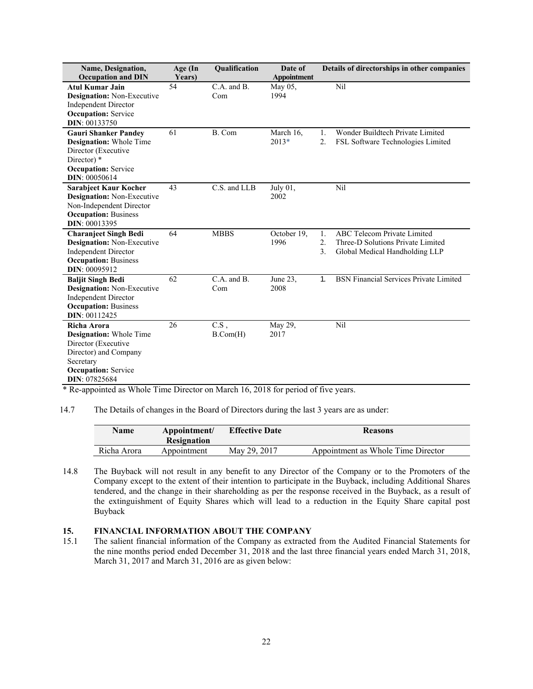| Name, Designation,<br><b>Occupation and DIN</b>                                                                                                           | Age (In<br>Years) | Qualification                  | Date of<br><b>Appointment</b> | Details of directorships in other companies                                                                                 |
|-----------------------------------------------------------------------------------------------------------------------------------------------------------|-------------------|--------------------------------|-------------------------------|-----------------------------------------------------------------------------------------------------------------------------|
| <b>Atul Kumar Jain</b><br><b>Designation:</b> Non-Executive<br><b>Independent Director</b><br><b>Occupation:</b> Service<br><b>DIN: 00133750</b>          | 54                | $C.A.$ and $B.$<br>Com         | May 05.<br>1994               | Nil                                                                                                                         |
| <b>Gauri Shanker Pandey</b><br><b>Designation:</b> Whole Time<br>Director (Executive<br>Director) *<br><b>Occupation:</b> Service<br><b>DIN: 00050614</b> | 61                | B. Com                         | March 16.<br>$2013*$          | Wonder Buildtech Private Limited<br>1.<br>$\overline{2}$ .<br>FSL Software Technologies Limited                             |
| <b>Sarabjeet Kaur Kocher</b><br><b>Designation:</b> Non-Executive<br>Non-Independent Director<br><b>Occupation: Business</b><br>DIN: 00013395             | 43                | C.S. and LLB                   | July 01,<br>2002              | Nil                                                                                                                         |
| <b>Charanjeet Singh Bedi</b><br><b>Designation:</b> Non-Executive<br><b>Independent Director</b><br><b>Occupation: Business</b><br>DIN: 00095912          | 64                | <b>MBBS</b>                    | October 19,<br>1996           | <b>ABC Telecom Private Limited</b><br>1.<br>2.<br>Three-D Solutions Private Limited<br>3.<br>Global Medical Handholding LLP |
| <b>Baljit Singh Bedi</b><br>Designation: Non-Executive<br><b>Independent Director</b><br><b>Occupation: Business</b><br>DIN: 00112425                     | 62                | C.A. and B.<br>Com             | June 23,<br>2008              | <b>BSN Financial Services Private Limited</b><br>$\mathbf{1}$ .                                                             |
| Richa Arora<br><b>Designation:</b> Whole Time<br>Director (Executive<br>Director) and Company<br>Secretary<br><b>Occupation:</b> Service<br>DIN: 07825684 | 26                | $\overline{C.S}$ ,<br>B.Com(H) | May 29,<br>2017               | Nil                                                                                                                         |

\* Re-appointed as Whole Time Director on March 16, 2018 for period of five years.

14.7 The Details of changes in the Board of Directors during the last 3 years are as under:

| Name        | Appointment/<br><b>Resignation</b> | <b>Effective Date</b> | <b>Reasons</b>                     |
|-------------|------------------------------------|-----------------------|------------------------------------|
| Richa Arora | Appointment                        | May 29, 2017          | Appointment as Whole Time Director |

14.8 The Buyback will not result in any benefit to any Director of the Company or to the Promoters of the Company except to the extent of their intention to participate in the Buyback, including Additional Shares tendered, and the change in their shareholding as per the response received in the Buyback, as a result of the extinguishment of Equity Shares which will lead to a reduction in the Equity Share capital post Buyback

# **15. • FINANCIAL INFORMATION ABOUT THE COMPANY** 15.1 • The salient financial information of the Company as extracted

The salient financial information of the Company as extracted from the Audited Financial Statements for the nine months period ended December 31, 2018 and the last three financial years ended March 31, 2018, March 31, 2017 and March 31, 2016 are as given below: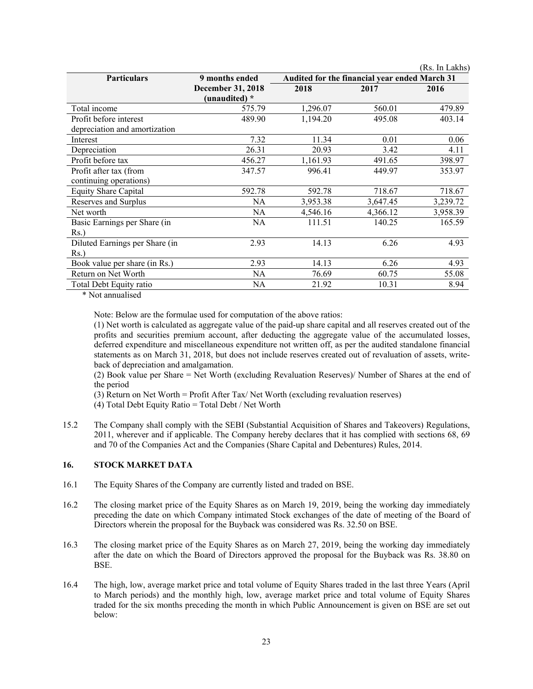|                                |                          |          |                                               | (Rs. In Lakhs) |
|--------------------------------|--------------------------|----------|-----------------------------------------------|----------------|
| <b>Particulars</b>             | 9 months ended           |          | Audited for the financial year ended March 31 |                |
|                                | <b>December 31, 2018</b> | 2018     | 2017                                          | 2016           |
|                                | (unaudited) *            |          |                                               |                |
| Total income                   | 575.79                   | 1,296.07 | 560.01                                        | 479.89         |
| Profit before interest         | 489.90                   | 1,194.20 | 495.08                                        | 403.14         |
| depreciation and amortization  |                          |          |                                               |                |
| Interest                       | 7.32                     | 11.34    | 0.01                                          | 0.06           |
| Depreciation                   | 26.31                    | 20.93    | 3.42                                          | 4.11           |
| Profit before tax              | 456.27                   | 1,161.93 | 491.65                                        | 398.97         |
| Profit after tax (from         | 347.57                   | 996.41   | 449.97                                        | 353.97         |
| continuing operations)         |                          |          |                                               |                |
| <b>Equity Share Capital</b>    | 592.78                   | 592.78   | 718.67                                        | 718.67         |
| Reserves and Surplus           | NA                       | 3,953.38 | 3,647.45                                      | 3,239.72       |
| Net worth                      | NA                       | 4,546.16 | 4,366.12                                      | 3,958.39       |
| Basic Earnings per Share (in   | <b>NA</b>                | 111.51   | 140.25                                        | 165.59         |
| Rs.                            |                          |          |                                               |                |
| Diluted Earnings per Share (in | 2.93                     | 14.13    | 6.26                                          | 4.93           |
| Rs.                            |                          |          |                                               |                |
| Book value per share (in Rs.)  | 2.93                     | 14.13    | 6.26                                          | 4.93           |
| Return on Net Worth            | NA                       | 76.69    | 60.75                                         | 55.08          |
| Total Debt Equity ratio        | NA                       | 21.92    | 10.31                                         | 8.94           |
|                                |                          |          |                                               |                |

\* Not annualised

Note: Below are the formulae used for computation of the above ratios:

(1) Net worth is calculated as aggregate value of the paid-up share capital and all reserves created out of the profits and securities premium account, after deducting the aggregate value of the accumulated losses, deferred expenditure and miscellaneous expenditure not written off, as per the audited standalone financial statements as on March 31, 2018, but does not include reserves created out of revaluation of assets, writeback of depreciation and amalgamation.

(2) Book value per Share = Net Worth (excluding Revaluation Reserves)/ Number of Shares at the end of the period

(3) Return on Net Worth = Profit After Tax/ Net Worth (excluding revaluation reserves)

(4) Total Debt Equity Ratio = Total Debt / Net Worth

15.2 The Company shall comply with the SEBI (Substantial Acquisition of Shares and Takeovers) Regulations, 2011, wherever and if applicable. The Company hereby declares that it has complied with sections 68, 69 and 70 of the Companies Act and the Companies (Share Capital and Debentures) Rules, 2014.

# **16. STOCK MARKET DATA**

- 16.1 The Equity Shares of the Company are currently listed and traded on BSE.
- 16.2 The closing market price of the Equity Shares as on March 19, 2019, being the working day immediately preceding the date on which Company intimated Stock exchanges of the date of meeting of the Board of Directors wherein the proposal for the Buyback was considered was Rs. 32.50 on BSE.
- 16.3 The closing market price of the Equity Shares as on March 27, 2019, being the working day immediately after the date on which the Board of Directors approved the proposal for the Buyback was Rs. 38.80 on BSE.
- 16.4 The high, low, average market price and total volume of Equity Shares traded in the last three Years (April to March periods) and the monthly high, low, average market price and total volume of Equity Shares traded for the six months preceding the month in which Public Announcement is given on BSE are set out below: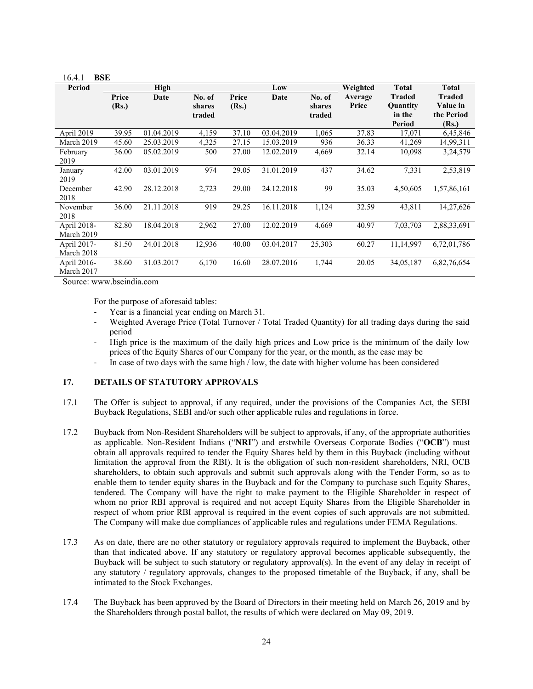| 10.4.1<br>вэв |       |            |        |       |            |        |          |               |               |
|---------------|-------|------------|--------|-------|------------|--------|----------|---------------|---------------|
| <b>Period</b> |       | High       |        |       | Low        |        | Weighted | <b>Total</b>  | <b>Total</b>  |
|               | Price | Date       | No. of | Price | Date       | No. of | Average  | <b>Traded</b> | <b>Traded</b> |
|               | (Rs.) |            | shares | (Rs.) |            | shares | Price    | Quantity      | Value in      |
|               |       |            | traded |       |            | traded |          | in the        | the Period    |
|               |       |            |        |       |            |        |          | <b>Period</b> | (Rs.)         |
| April 2019    | 39.95 | 01.04.2019 | 4,159  | 37.10 | 03.04.2019 | 1,065  | 37.83    | 17,071        | 6,45,846      |
| March 2019    | 45.60 | 25.03.2019 | 4,325  | 27.15 | 15.03.2019 | 936    | 36.33    | 41,269        | 14,99,311     |
| February      | 36.00 | 05.02.2019 | 500    | 27.00 | 12.02.2019 | 4,669  | 32.14    | 10,098        | 3,24,579      |
| 2019          |       |            |        |       |            |        |          |               |               |
| January       | 42.00 | 03.01.2019 | 974    | 29.05 | 31.01.2019 | 437    | 34.62    | 7,331         | 2,53,819      |
| 2019          |       |            |        |       |            |        |          |               |               |
| December      | 42.90 | 28.12.2018 | 2,723  | 29.00 | 24.12.2018 | 99     | 35.03    | 4,50,605      | 1,57,86,161   |
| 2018          |       |            |        |       |            |        |          |               |               |
| November      | 36.00 | 21.11.2018 | 919    | 29.25 | 16.11.2018 | 1,124  | 32.59    | 43,811        | 14,27,626     |
| 2018          |       |            |        |       |            |        |          |               |               |
| April 2018-   | 82.80 | 18.04.2018 | 2,962  | 27.00 | 12.02.2019 | 4,669  | 40.97    | 7,03,703      | 2,88,33,691   |
| March 2019    |       |            |        |       |            |        |          |               |               |
| April 2017-   | 81.50 | 24.01.2018 | 12,936 | 40.00 | 03.04.2017 | 25,303 | 60.27    | 11,14,997     | 6,72,01,786   |
| March 2018    |       |            |        |       |            |        |          |               |               |
| April 2016-   | 38.60 | 31.03.2017 | 6,170  | 16.60 | 28.07.2016 | 1,744  | 20.05    | 34,05,187     | 6,82,76,654   |
| March 2017    |       |            |        |       |            |        |          |               |               |

Source: www.bseindia.com

16.4.1 **BSE** 

For the purpose of aforesaid tables:

- Year is a financial year ending on March 31.
- Weighted Average Price (Total Turnover / Total Traded Quantity) for all trading days during the said period
- High price is the maximum of the daily high prices and Low price is the minimum of the daily low prices of the Equity Shares of our Company for the year, or the month, as the case may be
- ‐ In case of two days with the same high / low, the date with higher volume has been considered

## **17. DETAILS OF STATUTORY APPROVALS**

- 17.1 The Offer is subject to approval, if any required, under the provisions of the Companies Act, the SEBI Buyback Regulations, SEBI and/or such other applicable rules and regulations in force.
- 17.2 Buyback from Non-Resident Shareholders will be subject to approvals, if any, of the appropriate authorities as applicable. Non-Resident Indians ("**NRI**") and erstwhile Overseas Corporate Bodies ("**OCB**") must obtain all approvals required to tender the Equity Shares held by them in this Buyback (including without limitation the approval from the RBI). It is the obligation of such non-resident shareholders, NRI, OCB shareholders, to obtain such approvals and submit such approvals along with the Tender Form, so as to enable them to tender equity shares in the Buyback and for the Company to purchase such Equity Shares, tendered. The Company will have the right to make payment to the Eligible Shareholder in respect of whom no prior RBI approval is required and not accept Equity Shares from the Eligible Shareholder in respect of whom prior RBI approval is required in the event copies of such approvals are not submitted. The Company will make due compliances of applicable rules and regulations under FEMA Regulations.
- 17.3 As on date, there are no other statutory or regulatory approvals required to implement the Buyback, other than that indicated above. If any statutory or regulatory approval becomes applicable subsequently, the Buyback will be subject to such statutory or regulatory approval(s). In the event of any delay in receipt of any statutory / regulatory approvals, changes to the proposed timetable of the Buyback, if any, shall be intimated to the Stock Exchanges.
- 17.4 The Buyback has been approved by the Board of Directors in their meeting held on March 26, 2019 and by the Shareholders through postal ballot, the results of which were declared on May 09, 2019.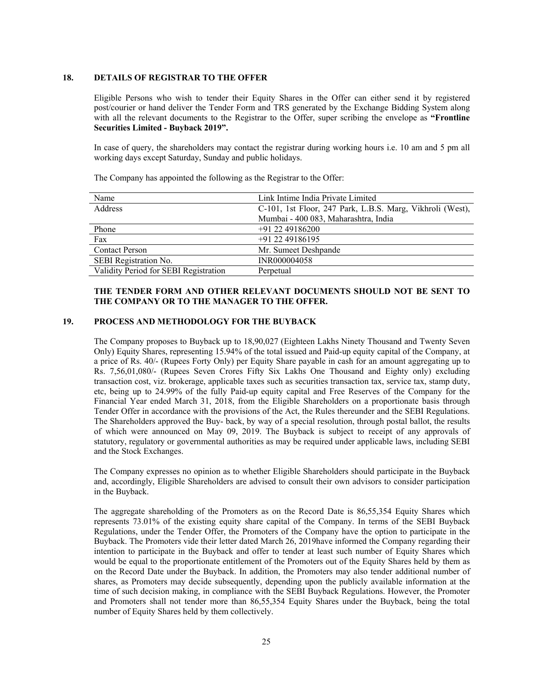## **18. DETAILS OF REGISTRAR TO THE OFFER**

Eligible Persons who wish to tender their Equity Shares in the Offer can either send it by registered post/courier or hand deliver the Tender Form and TRS generated by the Exchange Bidding System along with all the relevant documents to the Registrar to the Offer, super scribing the envelope as **"Frontline Securities Limited - Buyback 2019".** 

In case of query, the shareholders may contact the registrar during working hours i.e. 10 am and 5 pm all working days except Saturday, Sunday and public holidays.

The Company has appointed the following as the Registrar to the Offer:

| Name                                  | Link Intime India Private Limited                         |
|---------------------------------------|-----------------------------------------------------------|
| <b>Address</b>                        | C-101, 1st Floor, 247 Park, L.B.S. Marg, Vikhroli (West), |
|                                       | Mumbai - 400 083, Maharashtra, India                      |
| Phone                                 | +91 22 49186200                                           |
| Fax                                   | $+91$ 22 49186195                                         |
| <b>Contact Person</b>                 | Mr. Sumeet Deshpande                                      |
| SEBI Registration No.                 | INR000004058                                              |
| Validity Period for SEBI Registration | Perpetual                                                 |

## **THE TENDER FORM AND OTHER RELEVANT DOCUMENTS SHOULD NOT BE SENT TO THE COMPANY OR TO THE MANAGER TO THE OFFER.**

## **19. PROCESS AND METHODOLOGY FOR THE BUYBACK**

The Company proposes to Buyback up to 18,90,027 (Eighteen Lakhs Ninety Thousand and Twenty Seven Only) Equity Shares, representing 15.94% of the total issued and Paid-up equity capital of the Company, at a price of Rs. 40/- (Rupees Forty Only) per Equity Share payable in cash for an amount aggregating up to Rs. 7,56,01,080/- (Rupees Seven Crores Fifty Six Lakhs One Thousand and Eighty only) excluding transaction cost, viz. brokerage, applicable taxes such as securities transaction tax, service tax, stamp duty, etc, being up to 24.99% of the fully Paid-up equity capital and Free Reserves of the Company for the Financial Year ended March 31, 2018, from the Eligible Shareholders on a proportionate basis through Tender Offer in accordance with the provisions of the Act, the Rules thereunder and the SEBI Regulations. The Shareholders approved the Buy- back, by way of a special resolution, through postal ballot, the results of which were announced on May 09, 2019. The Buyback is subject to receipt of any approvals of statutory, regulatory or governmental authorities as may be required under applicable laws, including SEBI and the Stock Exchanges.

The Company expresses no opinion as to whether Eligible Shareholders should participate in the Buyback and, accordingly, Eligible Shareholders are advised to consult their own advisors to consider participation in the Buyback.

The aggregate shareholding of the Promoters as on the Record Date is 86,55,354 Equity Shares which represents 73.01% of the existing equity share capital of the Company. In terms of the SEBI Buyback Regulations, under the Tender Offer, the Promoters of the Company have the option to participate in the Buyback. The Promoters vide their letter dated March 26, 2019have informed the Company regarding their intention to participate in the Buyback and offer to tender at least such number of Equity Shares which would be equal to the proportionate entitlement of the Promoters out of the Equity Shares held by them as on the Record Date under the Buyback. In addition, the Promoters may also tender additional number of shares, as Promoters may decide subsequently, depending upon the publicly available information at the time of such decision making, in compliance with the SEBI Buyback Regulations. However, the Promoter and Promoters shall not tender more than 86,55,354 Equity Shares under the Buyback, being the total number of Equity Shares held by them collectively.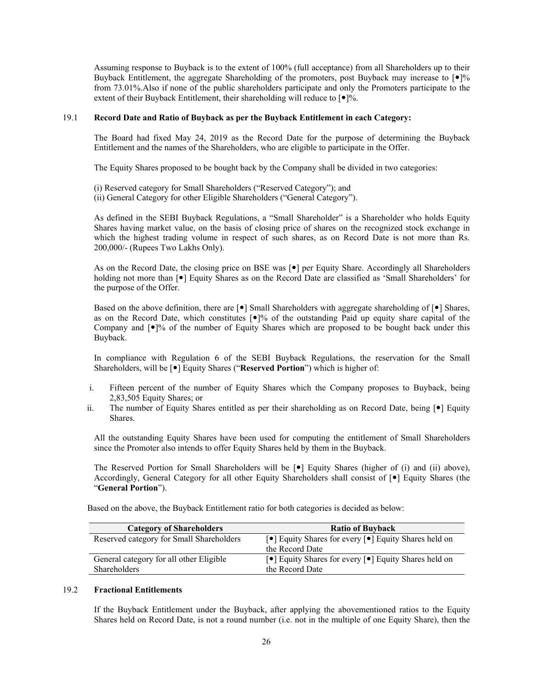Assuming response to Buyback is to the extent of 100% (full acceptance) from all Shareholders up to their Buyback Entitlement, the aggregate Shareholding of the promoters, post Buyback may increase to  $\lceil \bullet \rceil \%$ from 73.01%.Also if none of the public shareholders participate and only the Promoters participate to the extent of their Buyback Entitlement, their shareholding will reduce to  $\lceil \bullet \rceil\%$ .

## 19.1 **Record Date and Ratio of Buyback as per the Buyback Entitlement in each Category:**

The Board had fixed May 24, 2019 as the Record Date for the purpose of determining the Buyback Entitlement and the names of the Shareholders, who are eligible to participate in the Offer.

The Equity Shares proposed to be bought back by the Company shall be divided in two categories:

(i) Reserved category for Small Shareholders ("Reserved Category"); and

(ii) General Category for other Eligible Shareholders ("General Category").

As defined in the SEBI Buyback Regulations, a "Small Shareholder" is a Shareholder who holds Equity Shares having market value, on the basis of closing price of shares on the recognized stock exchange in which the highest trading volume in respect of such shares, as on Record Date is not more than Rs. 200,000/- (Rupees Two Lakhs Only).

As on the Record Date, the closing price on BSE was [ $\bullet$ ] per Equity Share. Accordingly all Shareholders holding not more than  $[\bullet]$  Equity Shares as on the Record Date are classified as 'Small Shareholders' for the purpose of the Offer.

Based on the above definition, there are  $\lceil \bullet \rceil$  Small Shareholders with aggregate shareholding of  $\lceil \bullet \rceil$  Shares, as on the Record Date, which constitutes  $\lceil \cdot \cdot \rceil$ % of the outstanding Paid up equity share capital of the Company and  $\lceil \bullet \rceil$ % of the number of Equity Shares which are proposed to be bought back under this Buyback.

In compliance with Regulation 6 of the SEBI Buyback Regulations, the reservation for the Small Shareholders, will be  $[\bullet]$  Equity Shares ("**Reserved Portion**") which is higher of:

- i. Fifteen percent of the number of Equity Shares which the Company proposes to Buyback, being 2,83,505 Equity Shares; or
- ii. The number of Equity Shares entitled as per their shareholding as on Record Date, being  $\lceil \bullet \rceil$  Equity Shares.

All the outstanding Equity Shares have been used for computing the entitlement of Small Shareholders since the Promoter also intends to offer Equity Shares held by them in the Buyback.

The Reserved Portion for Small Shareholders will be  $\lceil \bullet \rceil$  Equity Shares (higher of (i) and (ii) above), Accordingly, General Category for all other Equity Shareholders shall consist of  $[•]$  Equity Shares (the "**General Portion**").

| <b>Category of Shareholders</b>          | <b>Ratio of Buyback</b>                                                                       |
|------------------------------------------|-----------------------------------------------------------------------------------------------|
| Reserved category for Small Shareholders | $\lceil \bullet \rceil$ Equity Shares for every $\lceil \bullet \rceil$ Equity Shares held on |
|                                          | the Record Date                                                                               |
| General category for all other Eligible  | $\lceil \bullet \rceil$ Equity Shares for every $\lceil \bullet \rceil$ Equity Shares held on |
| Shareholders                             | the Record Date                                                                               |

Based on the above, the Buyback Entitlement ratio for both categories is decided as below:

## 19.2 **Fractional Entitlements**

If the Buyback Entitlement under the Buyback, after applying the abovementioned ratios to the Equity Shares held on Record Date, is not a round number (i.e. not in the multiple of one Equity Share), then the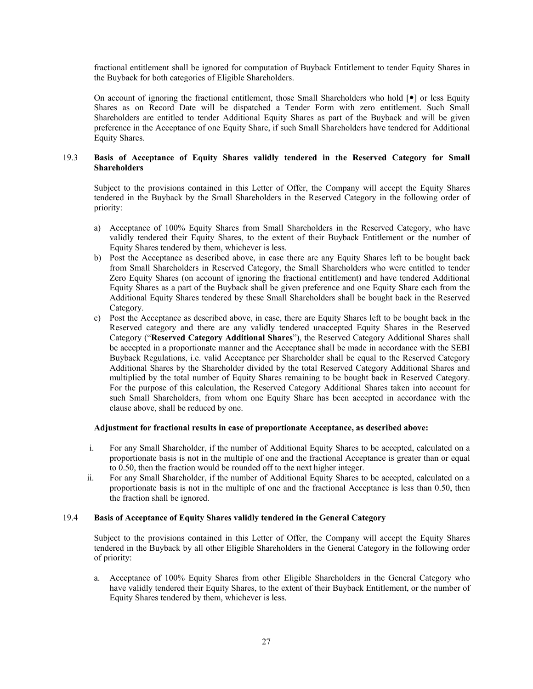fractional entitlement shall be ignored for computation of Buyback Entitlement to tender Equity Shares in the Buyback for both categories of Eligible Shareholders.

On account of ignoring the fractional entitlement, those Small Shareholders who hold  $[\bullet]$  or less Equity Shares as on Record Date will be dispatched a Tender Form with zero entitlement. Such Small Shareholders are entitled to tender Additional Equity Shares as part of the Buyback and will be given preference in the Acceptance of one Equity Share, if such Small Shareholders have tendered for Additional Equity Shares.

## 19.3 **Basis of Acceptance of Equity Shares validly tendered in the Reserved Category for Small Shareholders**

Subject to the provisions contained in this Letter of Offer, the Company will accept the Equity Shares tendered in the Buyback by the Small Shareholders in the Reserved Category in the following order of priority:

- a) Acceptance of 100% Equity Shares from Small Shareholders in the Reserved Category, who have validly tendered their Equity Shares, to the extent of their Buyback Entitlement or the number of Equity Shares tendered by them, whichever is less.
- b) Post the Acceptance as described above, in case there are any Equity Shares left to be bought back from Small Shareholders in Reserved Category, the Small Shareholders who were entitled to tender Zero Equity Shares (on account of ignoring the fractional entitlement) and have tendered Additional Equity Shares as a part of the Buyback shall be given preference and one Equity Share each from the Additional Equity Shares tendered by these Small Shareholders shall be bought back in the Reserved Category.
- c) Post the Acceptance as described above, in case, there are Equity Shares left to be bought back in the Reserved category and there are any validly tendered unaccepted Equity Shares in the Reserved Category ("**Reserved Category Additional Shares**"), the Reserved Category Additional Shares shall be accepted in a proportionate manner and the Acceptance shall be made in accordance with the SEBI Buyback Regulations, i.e. valid Acceptance per Shareholder shall be equal to the Reserved Category Additional Shares by the Shareholder divided by the total Reserved Category Additional Shares and multiplied by the total number of Equity Shares remaining to be bought back in Reserved Category. For the purpose of this calculation, the Reserved Category Additional Shares taken into account for such Small Shareholders, from whom one Equity Share has been accepted in accordance with the clause above, shall be reduced by one.

## **Adjustment for fractional results in case of proportionate Acceptance, as described above:**

- i. For any Small Shareholder, if the number of Additional Equity Shares to be accepted, calculated on a proportionate basis is not in the multiple of one and the fractional Acceptance is greater than or equal to 0.50, then the fraction would be rounded off to the next higher integer.
- ii. For any Small Shareholder, if the number of Additional Equity Shares to be accepted, calculated on a proportionate basis is not in the multiple of one and the fractional Acceptance is less than 0.50, then the fraction shall be ignored.

## 19.4 **Basis of Acceptance of Equity Shares validly tendered in the General Category**

Subject to the provisions contained in this Letter of Offer, the Company will accept the Equity Shares tendered in the Buyback by all other Eligible Shareholders in the General Category in the following order of priority:

a. Acceptance of 100% Equity Shares from other Eligible Shareholders in the General Category who have validly tendered their Equity Shares, to the extent of their Buyback Entitlement, or the number of Equity Shares tendered by them, whichever is less.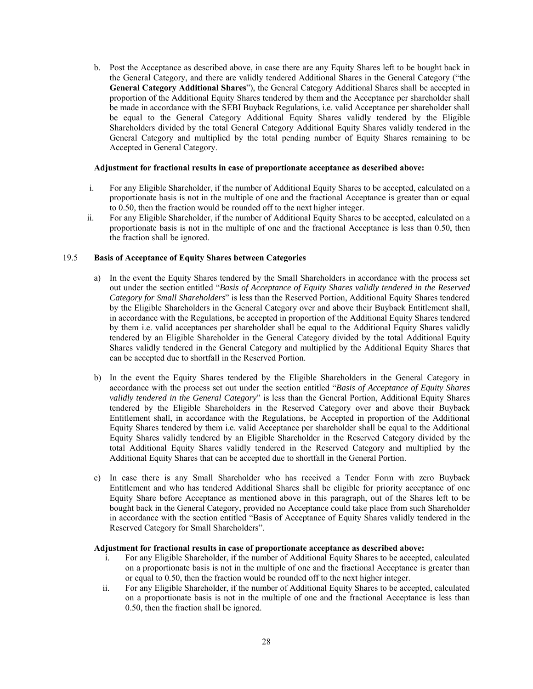b. Post the Acceptance as described above, in case there are any Equity Shares left to be bought back in the General Category, and there are validly tendered Additional Shares in the General Category ("the **General Category Additional Shares**"), the General Category Additional Shares shall be accepted in proportion of the Additional Equity Shares tendered by them and the Acceptance per shareholder shall be made in accordance with the SEBI Buyback Regulations, i.e. valid Acceptance per shareholder shall be equal to the General Category Additional Equity Shares validly tendered by the Eligible Shareholders divided by the total General Category Additional Equity Shares validly tendered in the General Category and multiplied by the total pending number of Equity Shares remaining to be Accepted in General Category.

## **Adjustment for fractional results in case of proportionate acceptance as described above:**

- i. For any Eligible Shareholder, if the number of Additional Equity Shares to be accepted, calculated on a proportionate basis is not in the multiple of one and the fractional Acceptance is greater than or equal to 0.50, then the fraction would be rounded off to the next higher integer.
- ii. For any Eligible Shareholder, if the number of Additional Equity Shares to be accepted, calculated on a proportionate basis is not in the multiple of one and the fractional Acceptance is less than 0.50, then the fraction shall be ignored.

## 19.5 **Basis of Acceptance of Equity Shares between Categories**

- a) In the event the Equity Shares tendered by the Small Shareholders in accordance with the process set out under the section entitled "*Basis of Acceptance of Equity Shares validly tendered in the Reserved Category for Small Shareholders*" is less than the Reserved Portion, Additional Equity Shares tendered by the Eligible Shareholders in the General Category over and above their Buyback Entitlement shall, in accordance with the Regulations, be accepted in proportion of the Additional Equity Shares tendered by them i.e. valid acceptances per shareholder shall be equal to the Additional Equity Shares validly tendered by an Eligible Shareholder in the General Category divided by the total Additional Equity Shares validly tendered in the General Category and multiplied by the Additional Equity Shares that can be accepted due to shortfall in the Reserved Portion.
- b) In the event the Equity Shares tendered by the Eligible Shareholders in the General Category in accordance with the process set out under the section entitled "*Basis of Acceptance of Equity Shares validly tendered in the General Category*" is less than the General Portion, Additional Equity Shares tendered by the Eligible Shareholders in the Reserved Category over and above their Buyback Entitlement shall, in accordance with the Regulations, be Accepted in proportion of the Additional Equity Shares tendered by them i.e. valid Acceptance per shareholder shall be equal to the Additional Equity Shares validly tendered by an Eligible Shareholder in the Reserved Category divided by the total Additional Equity Shares validly tendered in the Reserved Category and multiplied by the Additional Equity Shares that can be accepted due to shortfall in the General Portion.
- c) In case there is any Small Shareholder who has received a Tender Form with zero Buyback Entitlement and who has tendered Additional Shares shall be eligible for priority acceptance of one Equity Share before Acceptance as mentioned above in this paragraph, out of the Shares left to be bought back in the General Category, provided no Acceptance could take place from such Shareholder in accordance with the section entitled "Basis of Acceptance of Equity Shares validly tendered in the Reserved Category for Small Shareholders".

#### **Adjustment for fractional results in case of proportionate acceptance as described above:**

- i. For any Eligible Shareholder, if the number of Additional Equity Shares to be accepted, calculated on a proportionate basis is not in the multiple of one and the fractional Acceptance is greater than or equal to 0.50, then the fraction would be rounded off to the next higher integer.
- ii. For any Eligible Shareholder, if the number of Additional Equity Shares to be accepted, calculated on a proportionate basis is not in the multiple of one and the fractional Acceptance is less than 0.50, then the fraction shall be ignored.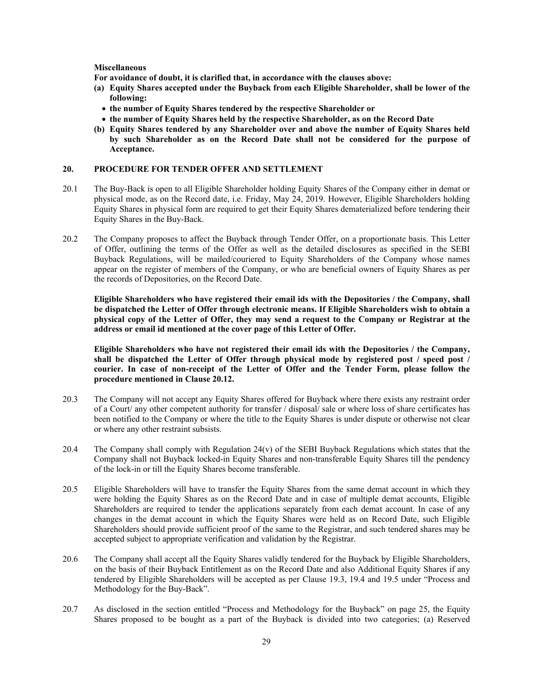#### **Miscellaneous**

**For avoidance of doubt, it is clarified that, in accordance with the clauses above:** 

- **(a) Equity Shares accepted under the Buyback from each Eligible Shareholder, shall be lower of the following:**
- **the number of Equity Shares tendered by the respective Shareholder or**
- **the number of Equity Shares held by the respective Shareholder, as on the Record Date**
- **(b) Equity Shares tendered by any Shareholder over and above the number of Equity Shares held by such Shareholder as on the Record Date shall not be considered for the purpose of Acceptance.**

#### **20. PROCEDURE FOR TENDER OFFER AND SETTLEMENT**

- 20.1 The Buy-Back is open to all Eligible Shareholder holding Equity Shares of the Company either in demat or physical mode, as on the Record date, i.e. Friday, May 24, 2019. However, Eligible Shareholders holding Equity Shares in physical form are required to get their Equity Shares dematerialized before tendering their Equity Shares in the Buy-Back.
- 20.2 The Company proposes to affect the Buyback through Tender Offer, on a proportionate basis. This Letter of Offer, outlining the terms of the Offer as well as the detailed disclosures as specified in the SEBI Buyback Regulations, will be mailed/couriered to Equity Shareholders of the Company whose names appear on the register of members of the Company, or who are beneficial owners of Equity Shares as per the records of Depositories, on the Record Date.

**Eligible Shareholders who have registered their email ids with the Depositories / the Company, shall be dispatched the Letter of Offer through electronic means. If Eligible Shareholders wish to obtain a physical copy of the Letter of Offer, they may send a request to the Company or Registrar at the address or email id mentioned at the cover page of this Letter of Offer.** 

**Eligible Shareholders who have not registered their email ids with the Depositories / the Company, shall be dispatched the Letter of Offer through physical mode by registered post / speed post / courier. In case of non-receipt of the Letter of Offer and the Tender Form, please follow the procedure mentioned in Clause 20.12.** 

- 20.3 The Company will not accept any Equity Shares offered for Buyback where there exists any restraint order of a Court/ any other competent authority for transfer / disposal/ sale or where loss of share certificates has been notified to the Company or where the title to the Equity Shares is under dispute or otherwise not clear or where any other restraint subsists.
- 20.4 The Company shall comply with Regulation 24(v) of the SEBI Buyback Regulations which states that the Company shall not Buyback locked-in Equity Shares and non-transferable Equity Shares till the pendency of the lock-in or till the Equity Shares become transferable.
- 20.5 Eligible Shareholders will have to transfer the Equity Shares from the same demat account in which they were holding the Equity Shares as on the Record Date and in case of multiple demat accounts, Eligible Shareholders are required to tender the applications separately from each demat account. In case of any changes in the demat account in which the Equity Shares were held as on Record Date, such Eligible Shareholders should provide sufficient proof of the same to the Registrar, and such tendered shares may be accepted subject to appropriate verification and validation by the Registrar.
- 20.6 The Company shall accept all the Equity Shares validly tendered for the Buyback by Eligible Shareholders, on the basis of their Buyback Entitlement as on the Record Date and also Additional Equity Shares if any tendered by Eligible Shareholders will be accepted as per Clause 19.3, 19.4 and 19.5 under "Process and Methodology for the Buy-Back".
- 20.7 As disclosed in the section entitled "Process and Methodology for the Buyback" on page 25, the Equity Shares proposed to be bought as a part of the Buyback is divided into two categories; (a) Reserved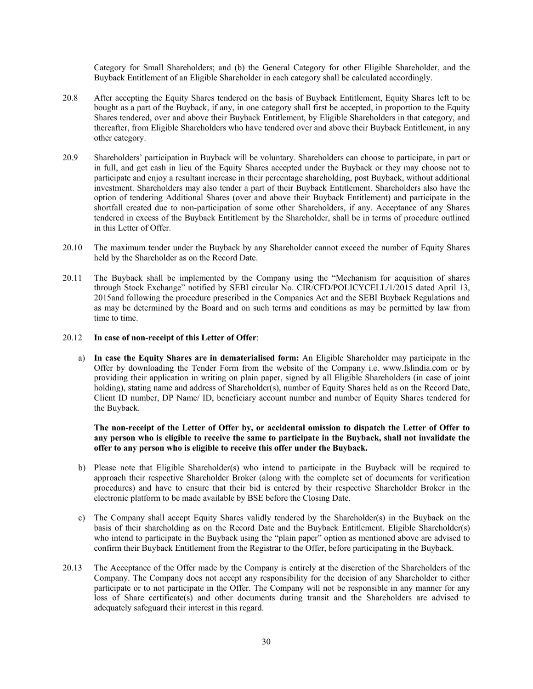Category for Small Shareholders; and (b) the General Category for other Eligible Shareholder, and the Buyback Entitlement of an Eligible Shareholder in each category shall be calculated accordingly.

- 20.8 After accepting the Equity Shares tendered on the basis of Buyback Entitlement, Equity Shares left to be bought as a part of the Buyback, if any, in one category shall first be accepted, in proportion to the Equity Shares tendered, over and above their Buyback Entitlement, by Eligible Shareholders in that category, and thereafter, from Eligible Shareholders who have tendered over and above their Buyback Entitlement, in any other category.
- 20.9 Shareholders' participation in Buyback will be voluntary. Shareholders can choose to participate, in part or in full, and get cash in lieu of the Equity Shares accepted under the Buyback or they may choose not to participate and enjoy a resultant increase in their percentage shareholding, post Buyback, without additional investment. Shareholders may also tender a part of their Buyback Entitlement. Shareholders also have the option of tendering Additional Shares (over and above their Buyback Entitlement) and participate in the shortfall created due to non-participation of some other Shareholders, if any. Acceptance of any Shares tendered in excess of the Buyback Entitlement by the Shareholder, shall be in terms of procedure outlined in this Letter of Offer.
- 20.10 The maximum tender under the Buyback by any Shareholder cannot exceed the number of Equity Shares held by the Shareholder as on the Record Date.
- 20.11 The Buyback shall be implemented by the Company using the "Mechanism for acquisition of shares through Stock Exchange" notified by SEBI circular No. CIR/CFD/POLICYCELL/1/2015 dated April 13, 2015and following the procedure prescribed in the Companies Act and the SEBI Buyback Regulations and as may be determined by the Board and on such terms and conditions as may be permitted by law from time to time.

## 20.12 **In case of non-receipt of this Letter of Offer**:

a) **In case the Equity Shares are in dematerialised form:** An Eligible Shareholder may participate in the Offer by downloading the Tender Form from the website of the Company i.e. www.fslindia.com or by providing their application in writing on plain paper, signed by all Eligible Shareholders (in case of joint holding), stating name and address of Shareholder(s), number of Equity Shares held as on the Record Date, Client ID number, DP Name/ ID, beneficiary account number and number of Equity Shares tendered for the Buyback.

**The non-receipt of the Letter of Offer by, or accidental omission to dispatch the Letter of Offer to any person who is eligible to receive the same to participate in the Buyback, shall not invalidate the offer to any person who is eligible to receive this offer under the Buyback.** 

- b) Please note that Eligible Shareholder(s) who intend to participate in the Buyback will be required to approach their respective Shareholder Broker (along with the complete set of documents for verification procedures) and have to ensure that their bid is entered by their respective Shareholder Broker in the electronic platform to be made available by BSE before the Closing Date.
- c) The Company shall accept Equity Shares validly tendered by the Shareholder(s) in the Buyback on the basis of their shareholding as on the Record Date and the Buyback Entitlement. Eligible Shareholder(s) who intend to participate in the Buyback using the "plain paper" option as mentioned above are advised to confirm their Buyback Entitlement from the Registrar to the Offer, before participating in the Buyback.
- 20.13 The Acceptance of the Offer made by the Company is entirely at the discretion of the Shareholders of the Company. The Company does not accept any responsibility for the decision of any Shareholder to either participate or to not participate in the Offer. The Company will not be responsible in any manner for any loss of Share certificate(s) and other documents during transit and the Shareholders are advised to adequately safeguard their interest in this regard.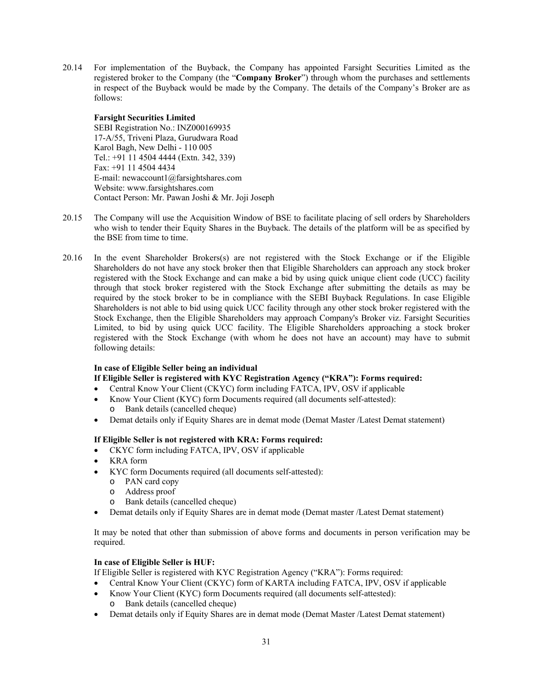20.14 For implementation of the Buyback, the Company has appointed Farsight Securities Limited as the registered broker to the Company (the "**Company Broker**") through whom the purchases and settlements in respect of the Buyback would be made by the Company. The details of the Company's Broker are as follows:

# **Farsight Securities Limited**

SEBI Registration No.: INZ000169935 17-A/55, Triveni Plaza, Gurudwara Road Karol Bagh, New Delhi - 110 005 Tel.: +91 11 4504 4444 (Extn. 342, 339) Fax: +91 11 4504 4434 E-mail: newaccount1@farsightshares.com Website: www.farsightshares.com Contact Person: Mr. Pawan Joshi & Mr. Joji Joseph

- 20.15 The Company will use the Acquisition Window of BSE to facilitate placing of sell orders by Shareholders who wish to tender their Equity Shares in the Buyback. The details of the platform will be as specified by the BSE from time to time.
- 20.16 In the event Shareholder Brokers(s) are not registered with the Stock Exchange or if the Eligible Shareholders do not have any stock broker then that Eligible Shareholders can approach any stock broker registered with the Stock Exchange and can make a bid by using quick unique client code (UCC) facility through that stock broker registered with the Stock Exchange after submitting the details as may be required by the stock broker to be in compliance with the SEBI Buyback Regulations. In case Eligible Shareholders is not able to bid using quick UCC facility through any other stock broker registered with the Stock Exchange, then the Eligible Shareholders may approach Company's Broker viz. Farsight Securities Limited, to bid by using quick UCC facility. The Eligible Shareholders approaching a stock broker registered with the Stock Exchange (with whom he does not have an account) may have to submit following details:

## **In case of Eligible Seller being an individual**

# **If Eligible Seller is registered with KYC Registration Agency ("KRA"): Forms required:**

- Central Know Your Client (CKYC) form including FATCA, IPV, OSV if applicable
- Know Your Client (KYC) form Documents required (all documents self-attested): o Bank details (cancelled cheque)
- Demat details only if Equity Shares are in demat mode (Demat Master /Latest Demat statement)

## **If Eligible Seller is not registered with KRA: Forms required:**

- CKYC form including FATCA, IPV, OSV if applicable
- KRA form
- KYC form Documents required (all documents self-attested):
	- o PAN card copy
	- o Address proof
	- o Bank details (cancelled cheque)
- Demat details only if Equity Shares are in demat mode (Demat master /Latest Demat statement)

It may be noted that other than submission of above forms and documents in person verification may be required.

## **In case of Eligible Seller is HUF:**

- If Eligible Seller is registered with KYC Registration Agency ("KRA"): Forms required:
- Central Know Your Client (CKYC) form of KARTA including FATCA, IPV, OSV if applicable
- Know Your Client (KYC) form Documents required (all documents self-attested): o Bank details (cancelled cheque)
- Demat details only if Equity Shares are in demat mode (Demat Master /Latest Demat statement)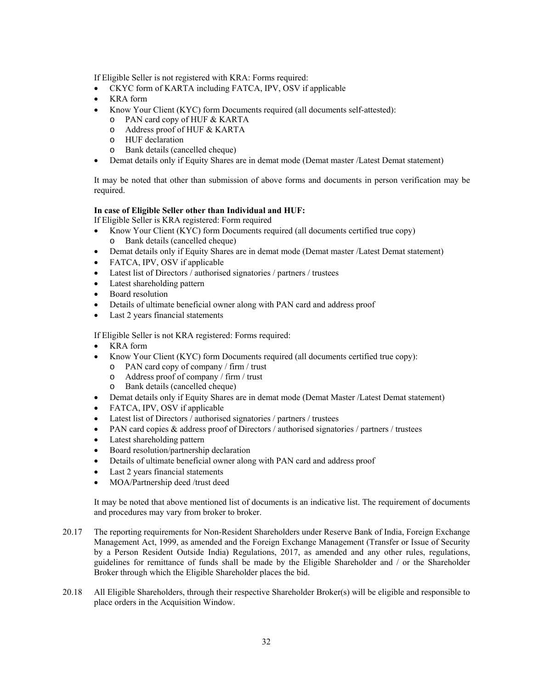If Eligible Seller is not registered with KRA: Forms required:

- CKYC form of KARTA including FATCA, IPV, OSV if applicable
- KRA form
- Know Your Client (KYC) form Documents required (all documents self-attested):
	- o PAN card copy of HUF & KARTA
	- o Address proof of HUF & KARTA
	- o HUF declaration
	- o Bank details (cancelled cheque)
- Demat details only if Equity Shares are in demat mode (Demat master /Latest Demat statement)

It may be noted that other than submission of above forms and documents in person verification may be required.

## **In case of Eligible Seller other than Individual and HUF:**

If Eligible Seller is KRA registered: Form required

- Know Your Client (KYC) form Documents required (all documents certified true copy) o Bank details (cancelled cheque)
- Demat details only if Equity Shares are in demat mode (Demat master /Latest Demat statement)
- FATCA, IPV, OSV if applicable
- Latest list of Directors / authorised signatories / partners / trustees
- Latest shareholding pattern
- Board resolution
- Details of ultimate beneficial owner along with PAN card and address proof
- Last 2 years financial statements

If Eligible Seller is not KRA registered: Forms required:

- KRA form
- Know Your Client (KYC) form Documents required (all documents certified true copy):
	- o PAN card copy of company / firm / trust
	- o Address proof of company / firm / trust
	- o Bank details (cancelled cheque)
- Demat details only if Equity Shares are in demat mode (Demat Master /Latest Demat statement)
- FATCA, IPV, OSV if applicable
- Latest list of Directors / authorised signatories / partners / trustees
- PAN card copies  $\&$  address proof of Directors / authorised signatories / partners / trustees
- Latest shareholding pattern
- Board resolution/partnership declaration
- Details of ultimate beneficial owner along with PAN card and address proof
- Last 2 years financial statements
- MOA/Partnership deed /trust deed

It may be noted that above mentioned list of documents is an indicative list. The requirement of documents and procedures may vary from broker to broker.

- 20.17 The reporting requirements for Non-Resident Shareholders under Reserve Bank of India, Foreign Exchange Management Act, 1999, as amended and the Foreign Exchange Management (Transfer or Issue of Security by a Person Resident Outside India) Regulations, 2017, as amended and any other rules, regulations, guidelines for remittance of funds shall be made by the Eligible Shareholder and / or the Shareholder Broker through which the Eligible Shareholder places the bid.
- 20.18 All Eligible Shareholders, through their respective Shareholder Broker(s) will be eligible and responsible to place orders in the Acquisition Window.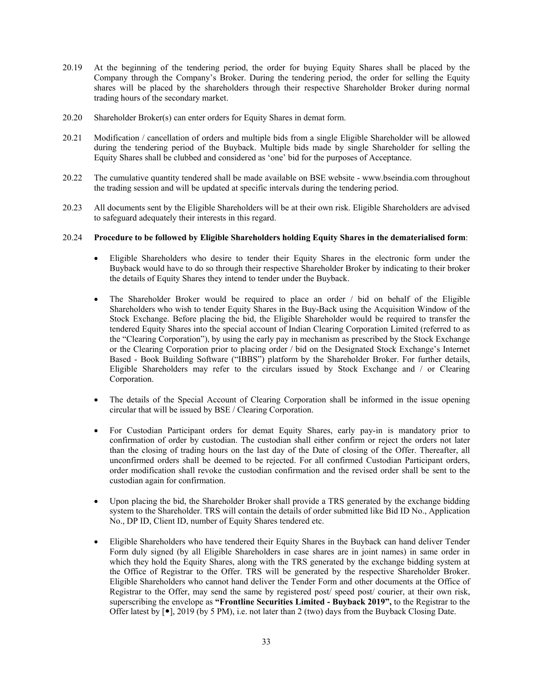- 20.19 At the beginning of the tendering period, the order for buying Equity Shares shall be placed by the Company through the Company's Broker. During the tendering period, the order for selling the Equity shares will be placed by the shareholders through their respective Shareholder Broker during normal trading hours of the secondary market.
- 20.20 Shareholder Broker(s) can enter orders for Equity Shares in demat form.
- 20.21 Modification / cancellation of orders and multiple bids from a single Eligible Shareholder will be allowed during the tendering period of the Buyback. Multiple bids made by single Shareholder for selling the Equity Shares shall be clubbed and considered as 'one' bid for the purposes of Acceptance.
- 20.22 The cumulative quantity tendered shall be made available on BSE website www.bseindia.com throughout the trading session and will be updated at specific intervals during the tendering period.
- 20.23 All documents sent by the Eligible Shareholders will be at their own risk. Eligible Shareholders are advised to safeguard adequately their interests in this regard.

#### 20.24 **Procedure to be followed by Eligible Shareholders holding Equity Shares in the dematerialised form**:

- Eligible Shareholders who desire to tender their Equity Shares in the electronic form under the Buyback would have to do so through their respective Shareholder Broker by indicating to their broker the details of Equity Shares they intend to tender under the Buyback.
- The Shareholder Broker would be required to place an order / bid on behalf of the Eligible Shareholders who wish to tender Equity Shares in the Buy-Back using the Acquisition Window of the Stock Exchange. Before placing the bid, the Eligible Shareholder would be required to transfer the tendered Equity Shares into the special account of Indian Clearing Corporation Limited (referred to as the "Clearing Corporation"), by using the early pay in mechanism as prescribed by the Stock Exchange or the Clearing Corporation prior to placing order / bid on the Designated Stock Exchange's Internet Based - Book Building Software ("IBBS") platform by the Shareholder Broker. For further details, Eligible Shareholders may refer to the circulars issued by Stock Exchange and / or Clearing Corporation.
- The details of the Special Account of Clearing Corporation shall be informed in the issue opening circular that will be issued by BSE / Clearing Corporation.
- For Custodian Participant orders for demat Equity Shares, early pay-in is mandatory prior to confirmation of order by custodian. The custodian shall either confirm or reject the orders not later than the closing of trading hours on the last day of the Date of closing of the Offer. Thereafter, all unconfirmed orders shall be deemed to be rejected. For all confirmed Custodian Participant orders, order modification shall revoke the custodian confirmation and the revised order shall be sent to the custodian again for confirmation.
- Upon placing the bid, the Shareholder Broker shall provide a TRS generated by the exchange bidding system to the Shareholder. TRS will contain the details of order submitted like Bid ID No., Application No., DP ID, Client ID, number of Equity Shares tendered etc.
- Eligible Shareholders who have tendered their Equity Shares in the Buyback can hand deliver Tender Form duly signed (by all Eligible Shareholders in case shares are in joint names) in same order in which they hold the Equity Shares, along with the TRS generated by the exchange bidding system at the Office of Registrar to the Offer. TRS will be generated by the respective Shareholder Broker. Eligible Shareholders who cannot hand deliver the Tender Form and other documents at the Office of Registrar to the Offer, may send the same by registered post/ speed post/ courier, at their own risk, superscribing the envelope as **"Frontline Securities Limited - Buyback 2019",** to the Registrar to the Offer latest by  $[\bullet]$ , 2019 (by 5 PM), i.e. not later than 2 (two) days from the Buyback Closing Date.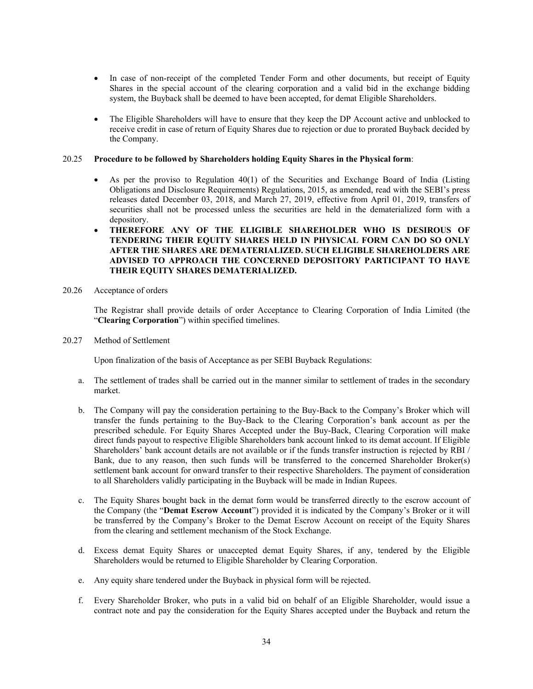- In case of non-receipt of the completed Tender Form and other documents, but receipt of Equity Shares in the special account of the clearing corporation and a valid bid in the exchange bidding system, the Buyback shall be deemed to have been accepted, for demat Eligible Shareholders.
- The Eligible Shareholders will have to ensure that they keep the DP Account active and unblocked to receive credit in case of return of Equity Shares due to rejection or due to prorated Buyback decided by the Company.

## 20.25 **Procedure to be followed by Shareholders holding Equity Shares in the Physical form**:

- As per the proviso to Regulation 40(1) of the Securities and Exchange Board of India (Listing Obligations and Disclosure Requirements) Regulations, 2015, as amended, read with the SEBI's press releases dated December 03, 2018, and March 27, 2019, effective from April 01, 2019, transfers of securities shall not be processed unless the securities are held in the dematerialized form with a depository.
- **THEREFORE ANY OF THE ELIGIBLE SHAREHOLDER WHO IS DESIROUS OF TENDERING THEIR EQUITY SHARES HELD IN PHYSICAL FORM CAN DO SO ONLY AFTER THE SHARES ARE DEMATERIALIZED. SUCH ELIGIBLE SHAREHOLDERS ARE ADVISED TO APPROACH THE CONCERNED DEPOSITORY PARTICIPANT TO HAVE THEIR EQUITY SHARES DEMATERIALIZED.**
- 20.26 Acceptance of orders

The Registrar shall provide details of order Acceptance to Clearing Corporation of India Limited (the "**Clearing Corporation**") within specified timelines.

20.27 Method of Settlement

Upon finalization of the basis of Acceptance as per SEBI Buyback Regulations:

- a. The settlement of trades shall be carried out in the manner similar to settlement of trades in the secondary market.
- b. The Company will pay the consideration pertaining to the Buy-Back to the Company's Broker which will transfer the funds pertaining to the Buy-Back to the Clearing Corporation's bank account as per the prescribed schedule. For Equity Shares Accepted under the Buy-Back, Clearing Corporation will make direct funds payout to respective Eligible Shareholders bank account linked to its demat account. If Eligible Shareholders' bank account details are not available or if the funds transfer instruction is rejected by RBI / Bank, due to any reason, then such funds will be transferred to the concerned Shareholder Broker(s) settlement bank account for onward transfer to their respective Shareholders. The payment of consideration to all Shareholders validly participating in the Buyback will be made in Indian Rupees.
- c. The Equity Shares bought back in the demat form would be transferred directly to the escrow account of the Company (the "**Demat Escrow Account**") provided it is indicated by the Company's Broker or it will be transferred by the Company's Broker to the Demat Escrow Account on receipt of the Equity Shares from the clearing and settlement mechanism of the Stock Exchange.
- d. Excess demat Equity Shares or unaccepted demat Equity Shares, if any, tendered by the Eligible Shareholders would be returned to Eligible Shareholder by Clearing Corporation.
- e. Any equity share tendered under the Buyback in physical form will be rejected.
- f. Every Shareholder Broker, who puts in a valid bid on behalf of an Eligible Shareholder, would issue a contract note and pay the consideration for the Equity Shares accepted under the Buyback and return the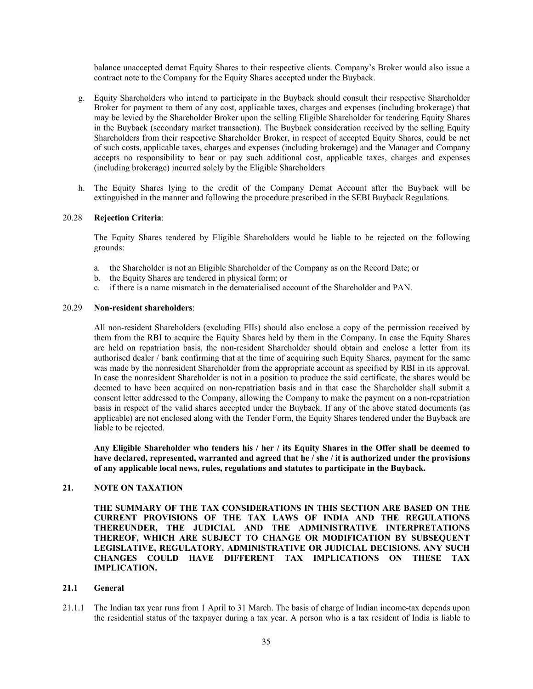balance unaccepted demat Equity Shares to their respective clients. Company's Broker would also issue a contract note to the Company for the Equity Shares accepted under the Buyback.

- g. Equity Shareholders who intend to participate in the Buyback should consult their respective Shareholder Broker for payment to them of any cost, applicable taxes, charges and expenses (including brokerage) that may be levied by the Shareholder Broker upon the selling Eligible Shareholder for tendering Equity Shares in the Buyback (secondary market transaction). The Buyback consideration received by the selling Equity Shareholders from their respective Shareholder Broker, in respect of accepted Equity Shares, could be net of such costs, applicable taxes, charges and expenses (including brokerage) and the Manager and Company accepts no responsibility to bear or pay such additional cost, applicable taxes, charges and expenses (including brokerage) incurred solely by the Eligible Shareholders
- h. The Equity Shares lying to the credit of the Company Demat Account after the Buyback will be extinguished in the manner and following the procedure prescribed in the SEBI Buyback Regulations.

## 20.28 **Rejection Criteria**:

The Equity Shares tendered by Eligible Shareholders would be liable to be rejected on the following grounds:

- a. the Shareholder is not an Eligible Shareholder of the Company as on the Record Date; or
- b. the Equity Shares are tendered in physical form; or
- c. if there is a name mismatch in the dematerialised account of the Shareholder and PAN.

#### 20.29 **Non-resident shareholders**:

All non-resident Shareholders (excluding FIIs) should also enclose a copy of the permission received by them from the RBI to acquire the Equity Shares held by them in the Company. In case the Equity Shares are held on repatriation basis, the non-resident Shareholder should obtain and enclose a letter from its authorised dealer / bank confirming that at the time of acquiring such Equity Shares, payment for the same was made by the nonresident Shareholder from the appropriate account as specified by RBI in its approval. In case the nonresident Shareholder is not in a position to produce the said certificate, the shares would be deemed to have been acquired on non-repatriation basis and in that case the Shareholder shall submit a consent letter addressed to the Company, allowing the Company to make the payment on a non-repatriation basis in respect of the valid shares accepted under the Buyback. If any of the above stated documents (as applicable) are not enclosed along with the Tender Form, the Equity Shares tendered under the Buyback are liable to be rejected.

**Any Eligible Shareholder who tenders his / her / its Equity Shares in the Offer shall be deemed to have declared, represented, warranted and agreed that he / she / it is authorized under the provisions of any applicable local news, rules, regulations and statutes to participate in the Buyback.** 

## **21. NOTE ON TAXATION**

**THE SUMMARY OF THE TAX CONSIDERATIONS IN THIS SECTION ARE BASED ON THE CURRENT PROVISIONS OF THE TAX LAWS OF INDIA AND THE REGULATIONS THEREUNDER, THE JUDICIAL AND THE ADMINISTRATIVE INTERPRETATIONS THEREOF, WHICH ARE SUBJECT TO CHANGE OR MODIFICATION BY SUBSEQUENT LEGISLATIVE, REGULATORY, ADMINISTRATIVE OR JUDICIAL DECISIONS. ANY SUCH CHANGES COULD HAVE DIFFERENT TAX IMPLICATIONS ON THESE TAX IMPLICATION.**

## **21.1 General**

21.1.1 The Indian tax year runs from 1 April to 31 March. The basis of charge of Indian income-tax depends upon the residential status of the taxpayer during a tax year. A person who is a tax resident of India is liable to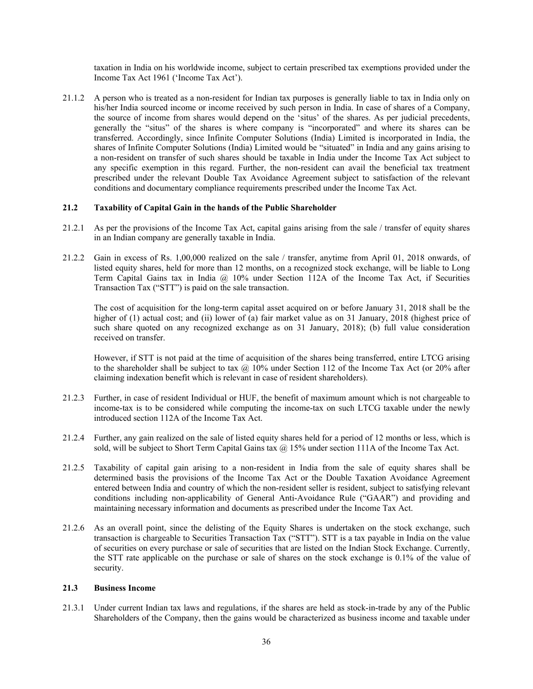taxation in India on his worldwide income, subject to certain prescribed tax exemptions provided under the Income Tax Act 1961 ('Income Tax Act').

21.1.2 A person who is treated as a non-resident for Indian tax purposes is generally liable to tax in India only on his/her India sourced income or income received by such person in India. In case of shares of a Company, the source of income from shares would depend on the 'situs' of the shares. As per judicial precedents, generally the "situs" of the shares is where company is "incorporated" and where its shares can be transferred. Accordingly, since Infinite Computer Solutions (India) Limited is incorporated in India, the shares of Infinite Computer Solutions (India) Limited would be "situated" in India and any gains arising to a non-resident on transfer of such shares should be taxable in India under the Income Tax Act subject to any specific exemption in this regard. Further, the non-resident can avail the beneficial tax treatment prescribed under the relevant Double Tax Avoidance Agreement subject to satisfaction of the relevant conditions and documentary compliance requirements prescribed under the Income Tax Act.

## **21.2 Taxability of Capital Gain in the hands of the Public Shareholder**

- 21.2.1 As per the provisions of the Income Tax Act, capital gains arising from the sale / transfer of equity shares in an Indian company are generally taxable in India.
- 21.2.2 Gain in excess of Rs. 1,00,000 realized on the sale / transfer, anytime from April 01, 2018 onwards, of listed equity shares, held for more than 12 months, on a recognized stock exchange, will be liable to Long Term Capital Gains tax in India @ 10% under Section 112A of the Income Tax Act, if Securities Transaction Tax ("STT") is paid on the sale transaction.

The cost of acquisition for the long-term capital asset acquired on or before January 31, 2018 shall be the higher of (1) actual cost; and (ii) lower of (a) fair market value as on 31 January, 2018 (highest price of such share quoted on any recognized exchange as on 31 January, 2018); (b) full value consideration received on transfer.

However, if STT is not paid at the time of acquisition of the shares being transferred, entire LTCG arising to the shareholder shall be subject to tax  $\omega$  10% under Section 112 of the Income Tax Act (or 20% after claiming indexation benefit which is relevant in case of resident shareholders).

- 21.2.3 Further, in case of resident Individual or HUF, the benefit of maximum amount which is not chargeable to income-tax is to be considered while computing the income-tax on such LTCG taxable under the newly introduced section 112A of the Income Tax Act.
- 21.2.4 Further, any gain realized on the sale of listed equity shares held for a period of 12 months or less, which is sold, will be subject to Short Term Capital Gains tax  $@$  15% under section 111A of the Income Tax Act.
- 21.2.5 Taxability of capital gain arising to a non-resident in India from the sale of equity shares shall be determined basis the provisions of the Income Tax Act or the Double Taxation Avoidance Agreement entered between India and country of which the non-resident seller is resident, subject to satisfying relevant conditions including non-applicability of General Anti-Avoidance Rule ("GAAR") and providing and maintaining necessary information and documents as prescribed under the Income Tax Act.
- 21.2.6 As an overall point, since the delisting of the Equity Shares is undertaken on the stock exchange, such transaction is chargeable to Securities Transaction Tax ("STT"). STT is a tax payable in India on the value of securities on every purchase or sale of securities that are listed on the Indian Stock Exchange. Currently, the STT rate applicable on the purchase or sale of shares on the stock exchange is 0.1% of the value of security.

## **21.3 Business Income**

21.3.1 Under current Indian tax laws and regulations, if the shares are held as stock-in-trade by any of the Public Shareholders of the Company, then the gains would be characterized as business income and taxable under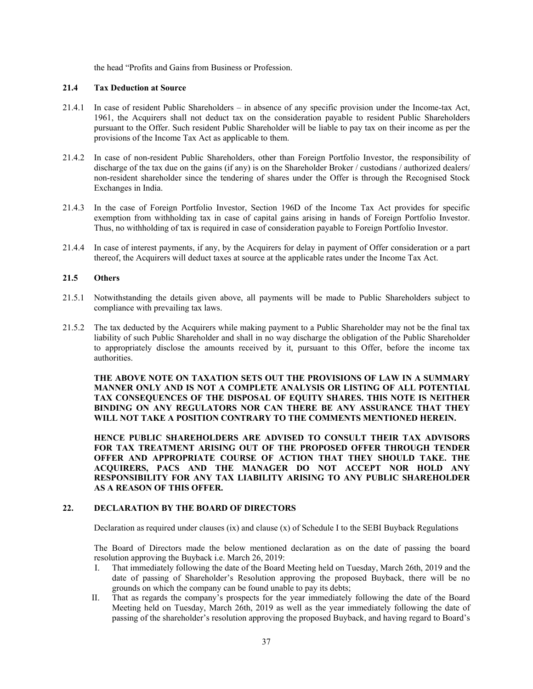the head "Profits and Gains from Business or Profession.

## **21.4 Tax Deduction at Source**

- 21.4.1 In case of resident Public Shareholders in absence of any specific provision under the Income-tax Act, 1961, the Acquirers shall not deduct tax on the consideration payable to resident Public Shareholders pursuant to the Offer. Such resident Public Shareholder will be liable to pay tax on their income as per the provisions of the Income Tax Act as applicable to them.
- 21.4.2 In case of non-resident Public Shareholders, other than Foreign Portfolio Investor, the responsibility of discharge of the tax due on the gains (if any) is on the Shareholder Broker / custodians / authorized dealers/ non-resident shareholder since the tendering of shares under the Offer is through the Recognised Stock Exchanges in India.
- 21.4.3 In the case of Foreign Portfolio Investor, Section 196D of the Income Tax Act provides for specific exemption from withholding tax in case of capital gains arising in hands of Foreign Portfolio Investor. Thus, no withholding of tax is required in case of consideration payable to Foreign Portfolio Investor.
- 21.4.4 In case of interest payments, if any, by the Acquirers for delay in payment of Offer consideration or a part thereof, the Acquirers will deduct taxes at source at the applicable rates under the Income Tax Act.

## **21.5 Others**

- 21.5.1 Notwithstanding the details given above, all payments will be made to Public Shareholders subject to compliance with prevailing tax laws.
- 21.5.2 The tax deducted by the Acquirers while making payment to a Public Shareholder may not be the final tax liability of such Public Shareholder and shall in no way discharge the obligation of the Public Shareholder to appropriately disclose the amounts received by it, pursuant to this Offer, before the income tax authorities.

**THE ABOVE NOTE ON TAXATION SETS OUT THE PROVISIONS OF LAW IN A SUMMARY MANNER ONLY AND IS NOT A COMPLETE ANALYSIS OR LISTING OF ALL POTENTIAL TAX CONSEQUENCES OF THE DISPOSAL OF EQUITY SHARES. THIS NOTE IS NEITHER BINDING ON ANY REGULATORS NOR CAN THERE BE ANY ASSURANCE THAT THEY WILL NOT TAKE A POSITION CONTRARY TO THE COMMENTS MENTIONED HEREIN.** 

**HENCE PUBLIC SHAREHOLDERS ARE ADVISED TO CONSULT THEIR TAX ADVISORS FOR TAX TREATMENT ARISING OUT OF THE PROPOSED OFFER THROUGH TENDER OFFER AND APPROPRIATE COURSE OF ACTION THAT THEY SHOULD TAKE. THE ACQUIRERS, PACS AND THE MANAGER DO NOT ACCEPT NOR HOLD ANY RESPONSIBILITY FOR ANY TAX LIABILITY ARISING TO ANY PUBLIC SHAREHOLDER AS A REASON OF THIS OFFER.** 

## **22. DECLARATION BY THE BOARD OF DIRECTORS**

Declaration as required under clauses (ix) and clause (x) of Schedule I to the SEBI Buyback Regulations

The Board of Directors made the below mentioned declaration as on the date of passing the board resolution approving the Buyback i.e. March 26, 2019:

- I. That immediately following the date of the Board Meeting held on Tuesday, March 26th, 2019 and the date of passing of Shareholder's Resolution approving the proposed Buyback, there will be no grounds on which the company can be found unable to pay its debts;
- II. That as regards the company's prospects for the year immediately following the date of the Board Meeting held on Tuesday, March 26th, 2019 as well as the year immediately following the date of passing of the shareholder's resolution approving the proposed Buyback, and having regard to Board's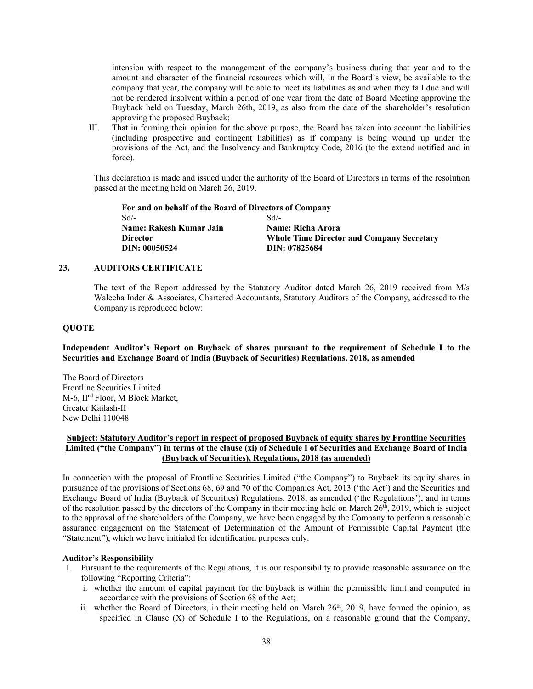intension with respect to the management of the company's business during that year and to the amount and character of the financial resources which will, in the Board's view, be available to the company that year, the company will be able to meet its liabilities as and when they fail due and will not be rendered insolvent within a period of one year from the date of Board Meeting approving the Buyback held on Tuesday, March 26th, 2019, as also from the date of the shareholder's resolution approving the proposed Buyback;

III. That in forming their opinion for the above purpose, the Board has taken into account the liabilities (including prospective and contingent liabilities) as if company is being wound up under the provisions of the Act, and the Insolvency and Bankruptcy Code, 2016 (to the extend notified and in force).

This declaration is made and issued under the authority of the Board of Directors in terms of the resolution passed at the meeting held on March 26, 2019.

**For and on behalf of the Board of Directors of Company**  Sd/- **Name: Rakesh Kumar Jain Director DIN: 00050524** Sd/- **Name: Richa Arora Whole Time Director and Company Secretary DIN: 07825684**

# **23. AUDITORS CERTIFICATE**

The text of the Report addressed by the Statutory Auditor dated March 26, 2019 received from M/s Walecha Inder & Associates, Chartered Accountants, Statutory Auditors of the Company, addressed to the Company is reproduced below:

#### **QUOTE**

**Independent Auditor's Report on Buyback of shares pursuant to the requirement of Schedule I to the Securities and Exchange Board of India (Buyback of Securities) Regulations, 2018, as amended** 

The Board of Directors Frontline Securities Limited M-6, IInd Floor, M Block Market, Greater Kailash-II New Delhi 110048

## **Subject: Statutory Auditor's report in respect of proposed Buyback of equity shares by Frontline Securities Limited ("the Company") in terms of the clause (xi) of Schedule I of Securities and Exchange Board of India (Buyback of Securities), Regulations, 2018 (as amended)**

In connection with the proposal of Frontline Securities Limited ("the Company") to Buyback its equity shares in pursuance of the provisions of Sections 68, 69 and 70 of the Companies Act, 2013 ('the Act') and the Securities and Exchange Board of India (Buyback of Securities) Regulations, 2018, as amended ('the Regulations'), and in terms of the resolution passed by the directors of the Company in their meeting held on March  $26<sup>th</sup>$ ,  $2019$ , which is subject to the approval of the shareholders of the Company, we have been engaged by the Company to perform a reasonable assurance engagement on the Statement of Determination of the Amount of Permissible Capital Payment (the "Statement"), which we have initialed for identification purposes only.

#### **Auditor's Responsibility**

- 1. Pursuant to the requirements of the Regulations, it is our responsibility to provide reasonable assurance on the following "Reporting Criteria":
	- i. whether the amount of capital payment for the buyback is within the permissible limit and computed in accordance with the provisions of Section 68 of the Act;
	- ii. whether the Board of Directors, in their meeting held on March 26<sup>th</sup>, 2019, have formed the opinion, as specified in Clause (X) of Schedule I to the Regulations, on a reasonable ground that the Company,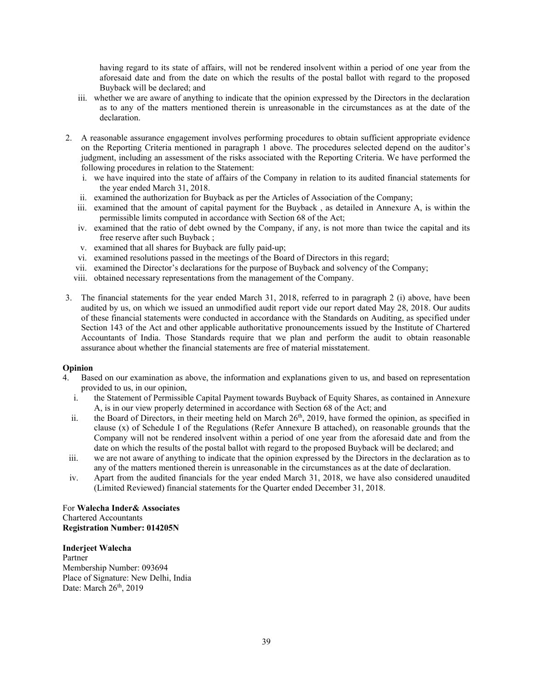having regard to its state of affairs, will not be rendered insolvent within a period of one year from the aforesaid date and from the date on which the results of the postal ballot with regard to the proposed Buyback will be declared; and

- iii. whether we are aware of anything to indicate that the opinion expressed by the Directors in the declaration as to any of the matters mentioned therein is unreasonable in the circumstances as at the date of the declaration.
- 2. A reasonable assurance engagement involves performing procedures to obtain sufficient appropriate evidence on the Reporting Criteria mentioned in paragraph 1 above. The procedures selected depend on the auditor's judgment, including an assessment of the risks associated with the Reporting Criteria. We have performed the following procedures in relation to the Statement:
	- i. we have inquired into the state of affairs of the Company in relation to its audited financial statements for the year ended March 31, 2018.
	- ii. examined the authorization for Buyback as per the Articles of Association of the Company;
	- iii. examined that the amount of capital payment for the Buyback , as detailed in Annexure A, is within the permissible limits computed in accordance with Section 68 of the Act;
	- iv. examined that the ratio of debt owned by the Company, if any, is not more than twice the capital and its free reserve after such Buyback ;
	- v. examined that all shares for Buyback are fully paid-up;
	- vi. examined resolutions passed in the meetings of the Board of Directors in this regard;
	- vii. examined the Director's declarations for the purpose of Buyback and solvency of the Company;
	- viii. obtained necessary representations from the management of the Company.
- 3. The financial statements for the year ended March 31, 2018, referred to in paragraph 2 (i) above, have been audited by us, on which we issued an unmodified audit report vide our report dated May 28, 2018. Our audits of these financial statements were conducted in accordance with the Standards on Auditing, as specified under Section 143 of the Act and other applicable authoritative pronouncements issued by the Institute of Chartered Accountants of India. Those Standards require that we plan and perform the audit to obtain reasonable assurance about whether the financial statements are free of material misstatement.

## **Opinion**

- 4. Based on our examination as above, the information and explanations given to us, and based on representation provided to us, in our opinion,
	- i. the Statement of Permissible Capital Payment towards Buyback of Equity Shares, as contained in Annexure A, is in our view properly determined in accordance with Section 68 of the Act; and
	- ii. the Board of Directors, in their meeting held on March 26<sup>th</sup>, 2019, have formed the opinion, as specified in clause (x) of Schedule I of the Regulations (Refer Annexure B attached), on reasonable grounds that the Company will not be rendered insolvent within a period of one year from the aforesaid date and from the date on which the results of the postal ballot with regard to the proposed Buyback will be declared; and
	- iii. we are not aware of anything to indicate that the opinion expressed by the Directors in the declaration as to any of the matters mentioned therein is unreasonable in the circumstances as at the date of declaration.
	- iv. Apart from the audited financials for the year ended March 31, 2018, we have also considered unaudited (Limited Reviewed) financial statements for the Quarter ended December 31, 2018.

For **Walecha Inder& Associates**  Chartered Accountants **Registration Number: 014205N**

#### **Inderjeet Walecha**

Partner Membership Number: 093694 Place of Signature: New Delhi, India Date: March 26<sup>th</sup>, 2019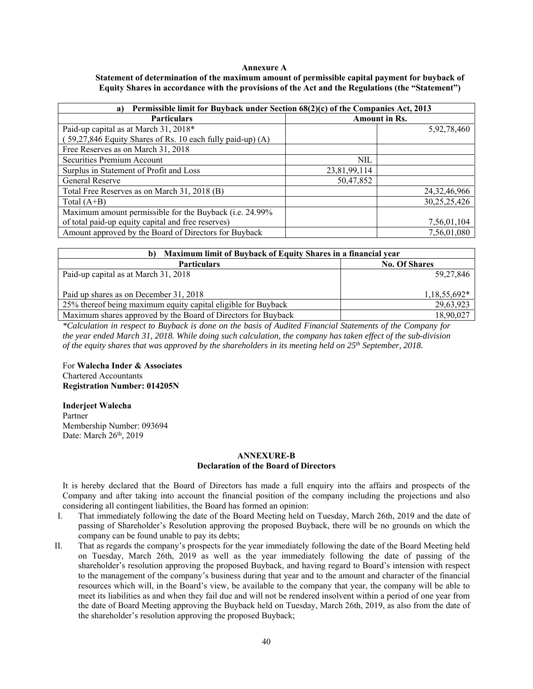#### **Annexure A**

| Statement of determination of the maximum amount of permissible capital payment for buyback of   |  |
|--------------------------------------------------------------------------------------------------|--|
| Equity Shares in accordance with the provisions of the Act and the Regulations (the "Statement") |  |

| Permissible limit for Buyback under Section 68(2)(c) of the Companies Act, 2013<br>a) |                      |                 |  |
|---------------------------------------------------------------------------------------|----------------------|-----------------|--|
| <b>Particulars</b>                                                                    | <b>Amount in Rs.</b> |                 |  |
| Paid-up capital as at March 31, 2018*                                                 |                      | 5,92,78,460     |  |
| 59,27,846 Equity Shares of Rs. 10 each fully paid-up) (A)                             |                      |                 |  |
| Free Reserves as on March 31, 2018                                                    |                      |                 |  |
| Securities Premium Account                                                            | NIL                  |                 |  |
| Surplus in Statement of Profit and Loss                                               | 23,81,99,114         |                 |  |
| General Reserve                                                                       | 50,47,852            |                 |  |
| Total Free Reserves as on March 31, 2018 (B)                                          |                      | 24, 32, 46, 966 |  |
| Total $(A+B)$                                                                         |                      | 30,25,25,426    |  |
| Maximum amount permissible for the Buyback (i.e. 24.99%                               |                      |                 |  |
| of total paid-up equity capital and free reserves)                                    |                      | 7,56,01,104     |  |
| Amount approved by the Board of Directors for Buyback                                 |                      | 7,56,01,080     |  |

| Maximum limit of Buyback of Equity Shares in a financial year |                      |  |  |
|---------------------------------------------------------------|----------------------|--|--|
| <b>Particulars</b>                                            | <b>No. Of Shares</b> |  |  |
| Paid-up capital as at March 31, 2018                          | 59,27,846            |  |  |
| Paid up shares as on December 31, 2018                        | $1,18,55,692*$       |  |  |
| 25% thereof being maximum equity capital eligible for Buyback | 29,63,923            |  |  |
| Maximum shares approved by the Board of Directors for Buyback | 18,90,027            |  |  |

*\*Calculation in respect to Buyback is done on the basis of Audited Financial Statements of the Company for the year ended March 31, 2018. While doing such calculation, the company has taken effect of the sub-division of the equity shares that was approved by the shareholders in its meeting held on 25th September, 2018.* 

For **Walecha Inder & Associates**  Chartered Accountants **Registration Number: 014205N**

## **Inderjeet Walecha**

Partner Membership Number: 093694 Date: March 26<sup>th</sup>, 2019

## **ANNEXURE-B Declaration of the Board of Directors**

It is hereby declared that the Board of Directors has made a full enquiry into the affairs and prospects of the Company and after taking into account the financial position of the company including the projections and also considering all contingent liabilities, the Board has formed an opinion:

- I. That immediately following the date of the Board Meeting held on Tuesday, March 26th, 2019 and the date of passing of Shareholder's Resolution approving the proposed Buyback, there will be no grounds on which the company can be found unable to pay its debts;
- II. That as regards the company's prospects for the year immediately following the date of the Board Meeting held on Tuesday, March 26th, 2019 as well as the year immediately following the date of passing of the shareholder's resolution approving the proposed Buyback, and having regard to Board's intension with respect to the management of the company's business during that year and to the amount and character of the financial resources which will, in the Board's view, be available to the company that year, the company will be able to meet its liabilities as and when they fail due and will not be rendered insolvent within a period of one year from the date of Board Meeting approving the Buyback held on Tuesday, March 26th, 2019, as also from the date of the shareholder's resolution approving the proposed Buyback;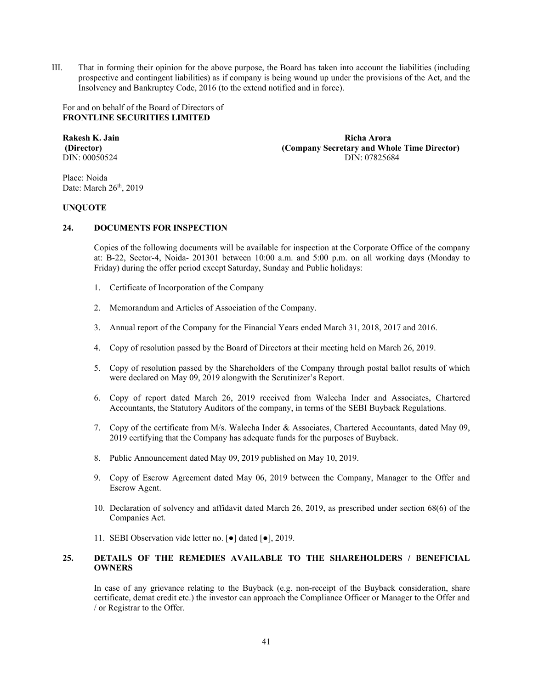III. That in forming their opinion for the above purpose, the Board has taken into account the liabilities (including prospective and contingent liabilities) as if company is being wound up under the provisions of the Act, and the Insolvency and Bankruptcy Code, 2016 (to the extend notified and in force).

For and on behalf of the Board of Directors of **FRONTLINE SECURITIES LIMITED** 

**Rakesh K. Jain Richa Arora (Director) (Company Secretary and Whole Time Director) DIN:** 00050524 **DIN:** 00050524 DIN: 07825684

Place: Noida Date: March 26<sup>th</sup>, 2019

## **UNQUOTE**

## **24. DOCUMENTS FOR INSPECTION**

Copies of the following documents will be available for inspection at the Corporate Office of the company at: B-22, Sector-4, Noida- 201301 between 10:00 a.m. and 5:00 p.m. on all working days (Monday to Friday) during the offer period except Saturday, Sunday and Public holidays:

- 1. Certificate of Incorporation of the Company
- 2. Memorandum and Articles of Association of the Company.
- 3. Annual report of the Company for the Financial Years ended March 31, 2018, 2017 and 2016.
- 4. Copy of resolution passed by the Board of Directors at their meeting held on March 26, 2019.
- 5. Copy of resolution passed by the Shareholders of the Company through postal ballot results of which were declared on May 09, 2019 alongwith the Scrutinizer's Report.
- 6. Copy of report dated March 26, 2019 received from Walecha Inder and Associates, Chartered Accountants, the Statutory Auditors of the company, in terms of the SEBI Buyback Regulations.
- 7. Copy of the certificate from M/s. Walecha Inder & Associates, Chartered Accountants, dated May 09, 2019 certifying that the Company has adequate funds for the purposes of Buyback.
- 8. Public Announcement dated May 09, 2019 published on May 10, 2019.
- 9. Copy of Escrow Agreement dated May 06, 2019 between the Company, Manager to the Offer and Escrow Agent.
- 10. Declaration of solvency and affidavit dated March 26, 2019, as prescribed under section 68(6) of the Companies Act.
- 11. SEBI Observation vide letter no. [●] dated [●], 2019.

## **25. DETAILS OF THE REMEDIES AVAILABLE TO THE SHAREHOLDERS / BENEFICIAL OWNERS**

In case of any grievance relating to the Buyback (e.g. non-receipt of the Buyback consideration, share certificate, demat credit etc.) the investor can approach the Compliance Officer or Manager to the Offer and / or Registrar to the Offer.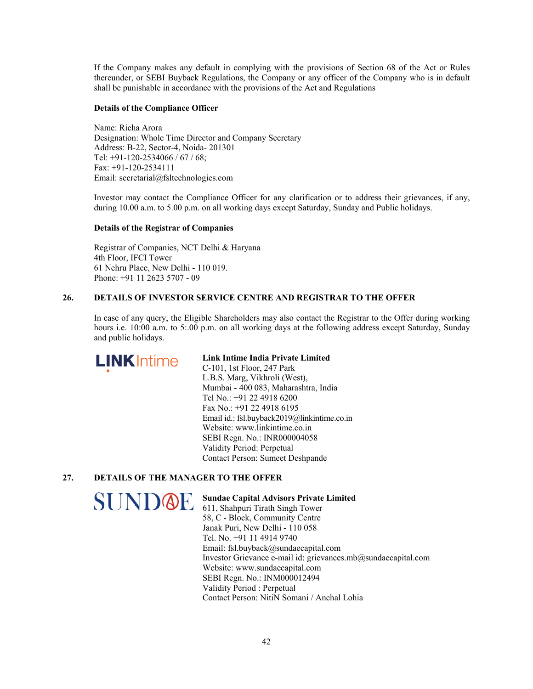If the Company makes any default in complying with the provisions of Section 68 of the Act or Rules thereunder, or SEBI Buyback Regulations, the Company or any officer of the Company who is in default shall be punishable in accordance with the provisions of the Act and Regulations

## **Details of the Compliance Officer**

Name: Richa Arora Designation: Whole Time Director and Company Secretary Address: B-22, Sector-4, Noida- 201301 Tel: +91-120-2534066 / 67 / 68; Fax: +91-120-2534111 Email: secretarial@fsltechnologies.com

Investor may contact the Compliance Officer for any clarification or to address their grievances, if any, during 10.00 a.m. to 5.00 p.m. on all working days except Saturday, Sunday and Public holidays.

## **Details of the Registrar of Companies**

Registrar of Companies, NCT Delhi & Haryana 4th Floor, IFCI Tower 61 Nehru Place, New Delhi - 110 019. Phone: +91 11 2623 5707 - 09

## **26. DETAILS OF INVESTOR SERVICE CENTRE AND REGISTRAR TO THE OFFER**

In case of any query, the Eligible Shareholders may also contact the Registrar to the Offer during working hours i.e. 10:00 a.m. to 5:.00 p.m. on all working days at the following address except Saturday, Sunday and public holidays.



## **Link Intime India Private Limited**

C-101, 1st Floor, 247 Park L.B.S. Marg, Vikhroli (West), Mumbai - 400 083, Maharashtra, India Tel No.: +91 22 4918 6200 Fax No.: +91 22 4918 6195 Email id.: fsl.buyback2019@linkintime.co.in Website: www.linkintime.co.in SEBI Regn. No.: INR000004058 Validity Period: Perpetual Contact Person: Sumeet Deshpande

# **27. DETAILS OF THE MANAGER TO THE OFFER**

SUNDOE

## **Sundae Capital Advisors Private Limited**

611, Shahpuri Tirath Singh Tower 58, C - Block, Community Centre Janak Puri, New Delhi - 110 058 Tel. No. +91 11 4914 9740 Email: fsl.buyback@sundaecapital.com Investor Grievance e-mail id: grievances.mb@sundaecapital.com Website: www.sundaecapital.com SEBI Regn. No.: INM000012494 Validity Period : Perpetual Contact Person: NitiN Somani / Anchal Lohia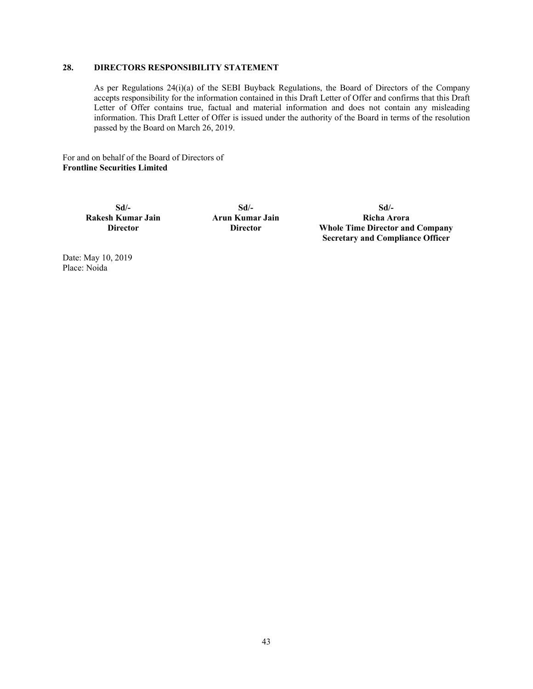## **28. DIRECTORS RESPONSIBILITY STATEMENT**

As per Regulations 24(i)(a) of the SEBI Buyback Regulations, the Board of Directors of the Company accepts responsibility for the information contained in this Draft Letter of Offer and confirms that this Draft Letter of Offer contains true, factual and material information and does not contain any misleading information. This Draft Letter of Offer is issued under the authority of the Board in terms of the resolution passed by the Board on March 26, 2019.

For and on behalf of the Board of Directors of **Frontline Securities Limited** 

> **Sd/- Rakesh Kumar Jain Director**

**Sd/- Arun Kumar Jain Director** 

**Sd/- Richa Arora Whole Time Director and Company Secretary and Compliance Officer** 

Date: May 10, 2019 Place: Noida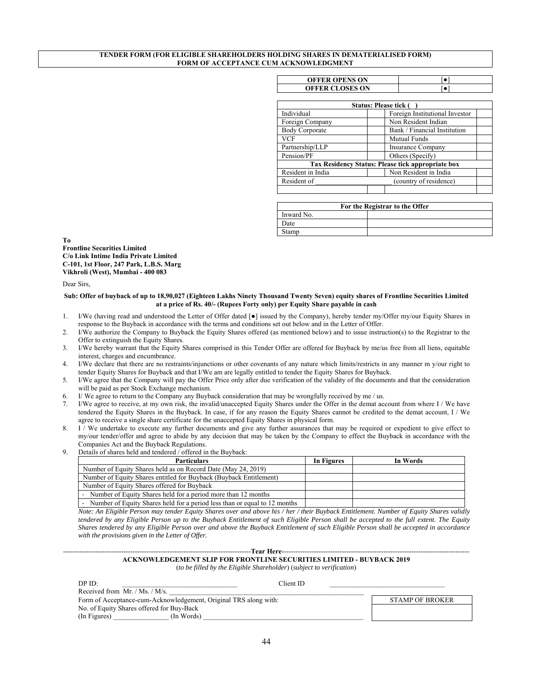#### **TENDER FORM (FOR ELIGIBLE SHAREHOLDERS HOLDING SHARES IN DEMATERIALISED FORM) FORM OF ACCEPTANCE CUM ACKNOWLEDGMENT**

| <b>OFFER OPENS ON</b>  |  |
|------------------------|--|
| <b>OFFER CLOSES ON</b> |  |

| Status: Please tick ( |                                                   |  |  |  |
|-----------------------|---------------------------------------------------|--|--|--|
| Individual            | Foreign Institutional Investor                    |  |  |  |
| Foreign Company       | Non Resident Indian                               |  |  |  |
| <b>Body Corporate</b> | Bank / Financial Institution                      |  |  |  |
| <b>VCF</b>            | <b>Mutual Funds</b>                               |  |  |  |
| Partnership/LLP       | <b>Insurance Company</b>                          |  |  |  |
| Pension/PF            | Others (Specify)                                  |  |  |  |
|                       | Tax Residency Status: Please tick appropriate box |  |  |  |
| Resident in India     | Non Resident in India                             |  |  |  |
| Resident of           | (country of residence)                            |  |  |  |
|                       |                                                   |  |  |  |

| For the Registrar to the Offer |  |  |
|--------------------------------|--|--|
| Inward No.                     |  |  |
| Date                           |  |  |
| Stamp                          |  |  |

**To Frontline Securities Limited C/o Link Intime India Private Limited C-101, 1st Floor, 247 Park, L.B.S. Marg Vikhroli (West), Mumbai - 400 083** 

Dear Sirs,

#### **Sub: Offer of buyback of up to 18,90,027 (Eighteen Lakhs Ninety Thousand Twenty Seven) equity shares of Frontline Securities Limited at a price of Rs. 40/- (Rupees Forty only) per Equity Share payable in cash**

- 1. I/We (having read and understood the Letter of Offer dated [●] issued by the Company), hereby tender my/Offer my/our Equity Shares in response to the Buyback in accordance with the terms and conditions set out below and in the Letter of Offer.
- 2. I/We authorize the Company to Buyback the Equity Shares offered (as mentioned below) and to issue instruction(s) to the Registrar to the Offer to extinguish the Equity Shares.
- 3. I/We hereby warrant that the Equity Shares comprised in this Tender Offer are offered for Buyback by me/us free from all liens, equitable interest, charges and encumbrance.
- 4. I/We declare that there are no restraints/injunctions or other covenants of any nature which limits/restricts in any manner m y/our right to tender Equity Shares for Buyback and that I/We am are legally entitled to tender the Equity Shares for Buyback.
- 5. I/We agree that the Company will pay the Offer Price only after due verification of the validity of the documents and that the consideration will be paid as per Stock Exchange mechanism.
- 6. I/ We agree to return to the Company any Buyback consideration that may be wrongfully received by me / us.
- 7. I/We agree to receive, at my own risk, the invalid/unaccepted Equity Shares under the Offer in the demat account from where I / We have tendered the Equity Shares in the Buyback. In case, if for any reason the Equity Shares cannot be credited to the demat account, I / We agree to receive a single share certificate for the unaccepted Equity Shares in physical form.
- 8. I / We undertake to execute any further documents and give any further assurances that may be required or expedient to give effect to my/our tender/offer and agree to abide by any decision that may be taken by the Company to effect the Buyback in accordance with the Companies Act and the Buyback Regulations.
- 9. Details of shares held and tendered / offered in the Buyback:

| <b>Particulars</b>                                                          | In Figures | In Words |
|-----------------------------------------------------------------------------|------------|----------|
| Number of Equity Shares held as on Record Date (May 24, 2019)               |            |          |
| Number of Equity Shares entitled for Buyback (Buyback Entitlement)          |            |          |
| Number of Equity Shares offered for Buyback                                 |            |          |
| - Number of Equity Shares held for a period more than 12 months             |            |          |
| - Number of Equity Shares held for a period less than or equal to 12 months |            |          |

*Note: An Eligible Person may tender Equity Shares over and above his / her / their Buyback Entitlement. Number of Equity Shares validly tendered by any Eligible Person up to the Buyback Entitlement of such Eligible Person shall be accepted to the full extent. The Equity Shares tendered by any Eligible Person over and above the Buyback Entitlement of such Eligible Person shall be accepted in accordance with the provisions given in the Letter of Offer.* 

## ---------------------------------------------------------------------------------**Tear Here**--------------------------------------------------------------------------------- **ACKNOWLEDGEMENT SLIP FOR FRONTLINE SECURITIES LIMITED - BUYBACK 2019**

(*to be filled by the Eligible Shareholder*) (*subject to verification*)

| DPID:                                                            | Client ID |                        |
|------------------------------------------------------------------|-----------|------------------------|
| Received from Mr. / Ms. / M/s.                                   |           |                        |
| Form of Acceptance-cum-Acknowledgement, Original TRS along with: |           | <b>STAMP OF BROKER</b> |
| No. of Equity Shares offered for Buy-Back                        |           |                        |
| (In Figures)<br>(In Words)                                       |           |                        |
|                                                                  |           |                        |